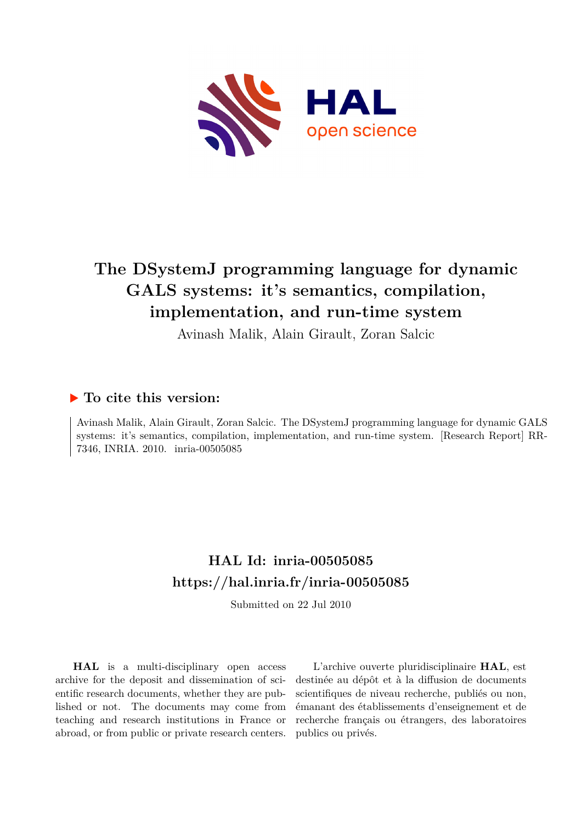

# **The DSystemJ programming language for dynamic GALS systems: it's semantics, compilation, implementation, and run-time system**

Avinash Malik, Alain Girault, Zoran Salcic

# **To cite this version:**

Avinash Malik, Alain Girault, Zoran Salcic. The DSystemJ programming language for dynamic GALS systems: it's semantics, compilation, implementation, and run-time system. [Research Report] RR-7346, INRIA. 2010. inria-00505085

# **HAL Id: inria-00505085 <https://hal.inria.fr/inria-00505085>**

Submitted on 22 Jul 2010

**HAL** is a multi-disciplinary open access archive for the deposit and dissemination of scientific research documents, whether they are published or not. The documents may come from teaching and research institutions in France or abroad, or from public or private research centers.

L'archive ouverte pluridisciplinaire **HAL**, est destinée au dépôt et à la diffusion de documents scientifiques de niveau recherche, publiés ou non, émanant des établissements d'enseignement et de recherche français ou étrangers, des laboratoires publics ou privés.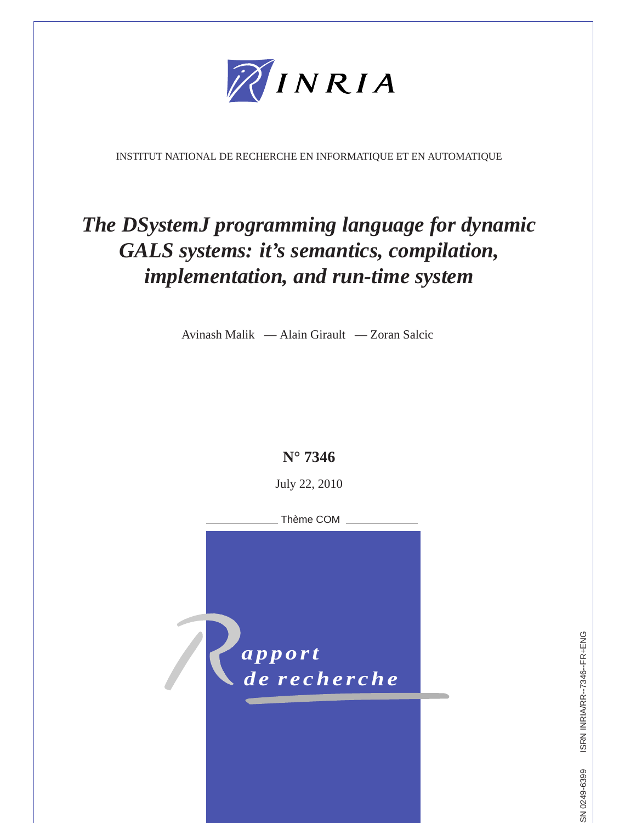

INSTITUT NATIONAL DE RECHERCHE EN INFORMATIQUE ET EN AUTOMATIQUE

# *The DSystemJ programming language for dynamic GALS systems: it's semantics, compilation, implementation, and run-time system*

Avinash Malik — Alain Girault — Zoran Salcic



ISRN INRIA/RR--7346--FR+ENG ISSN 0249-6399 ISRN INRIA/RR--7346--FR+ENG SN 0249-6399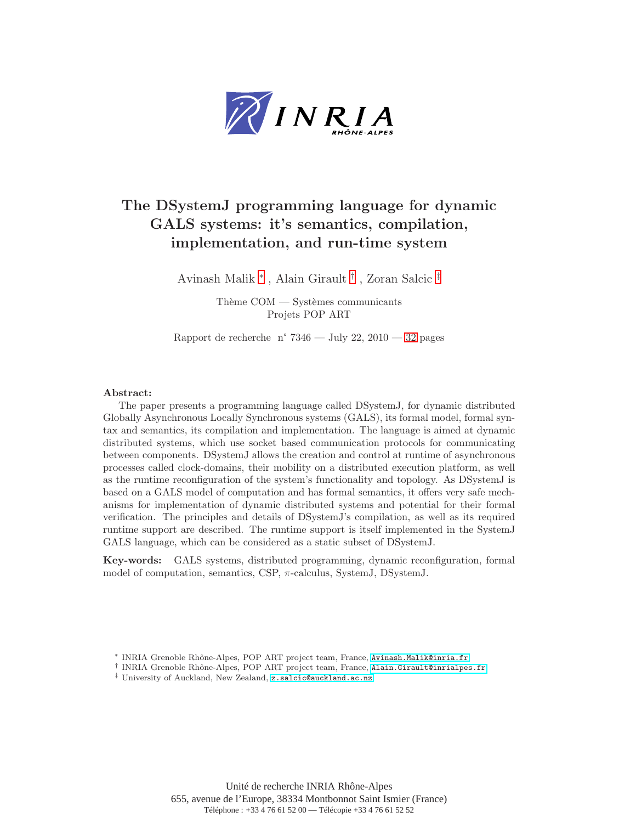

# The DSystemJ programming language for dynamic GALS systems: it's semantics, compilation, implementation, and run-time system

Avinash Malik <sup>∗</sup> , Alain Girault † , Zoran Salcic ‡

Thème  $COM -$  Systèmes communicants Projets POP ART

Rapport de recherche n° 7346 — July 22, 2010 — [32](#page-34-0) pages

# Abstract:

The paper presents a programming language called DSystemJ, for dynamic distributed Globally Asynchronous Locally Synchronous systems (GALS), its formal model, formal syntax and semantics, its compilation and implementation. The language is aimed at dynamic distributed systems, which use socket based communication protocols for communicating between components. DSystemJ allows the creation and control at runtime of asynchronous processes called clock-domains, their mobility on a distributed execution platform, as well as the runtime reconfiguration of the system's functionality and topology. As DSystemJ is based on a GALS model of computation and has formal semantics, it offers very safe mechanisms for implementation of dynamic distributed systems and potential for their formal verification. The principles and details of DSystemJ's compilation, as well as its required runtime support are described. The runtime support is itself implemented in the SystemJ GALS language, which can be considered as a static subset of DSystemJ.

Key-words: GALS systems, distributed programming, dynamic reconfiguration, formal model of computation, semantics, CSP,  $\pi$ -calculus, SystemJ, DSystemJ.

<sup>∗</sup> INRIA Grenoble Rhˆone-Alpes, POP ART project team, France, <Avinash.Malik@inria.fr>

<sup>†</sup> INRIA Grenoble Rhˆone-Alpes, POP ART project team, France, <Alain.Girault@inrialpes.fr>

<sup>‡</sup> University of Auckland, New Zealand, <z.salcic@auckland.ac.nz>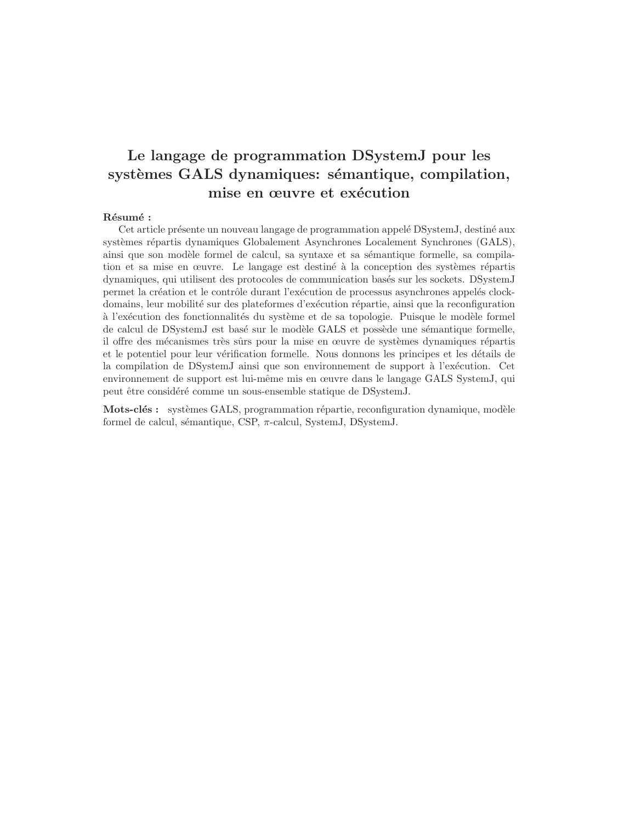# Le langage de programmation DSystemJ pour les systèmes GALS dynamiques: sémantique, compilation, mise en œuvre et exécution

# Résumé :

Cet article présente un nouveau langage de programmation appelé DSystemJ, destiné aux systèmes répartis dynamiques Globalement Asynchrones Localement Synchrones (GALS), ainsi que son modèle formel de calcul, sa syntaxe et sa sémantique formelle, sa compilation et sa mise en œuvre. Le langage est destiné à la conception des systèmes répartis dynamiques, qui utilisent des protocoles de communication bas´es sur les sockets. DSystemJ permet la création et le contrôle durant l'exécution de processus asynchrones appelés clockdomains, leur mobilité sur des plateformes d'exécution répartie, ainsi que la reconfiguration à l'exécution des fonctionnalités du système et de sa topologie. Puisque le modèle formel de calcul de DSystemJ est basé sur le modèle GALS et possède une sémantique formelle, il offre des mécanismes très sûrs pour la mise en œuvre de systèmes dynamiques répartis et le potentiel pour leur vérification formelle. Nous donnons les principes et les détails de la compilation de DSystemJ ainsi que son environnement de support à l'exécution. Cet environnement de support est lui-même mis en œuvre dans le langage GALS SystemJ, qui peut être considéré comme un sous-ensemble statique de DSystemJ.

Mots-clés : systèmes GALS, programmation répartie, reconfiguration dynamique, modèle formel de calcul, sémantique, CSP,  $\pi$ -calcul, SystemJ, DSystemJ.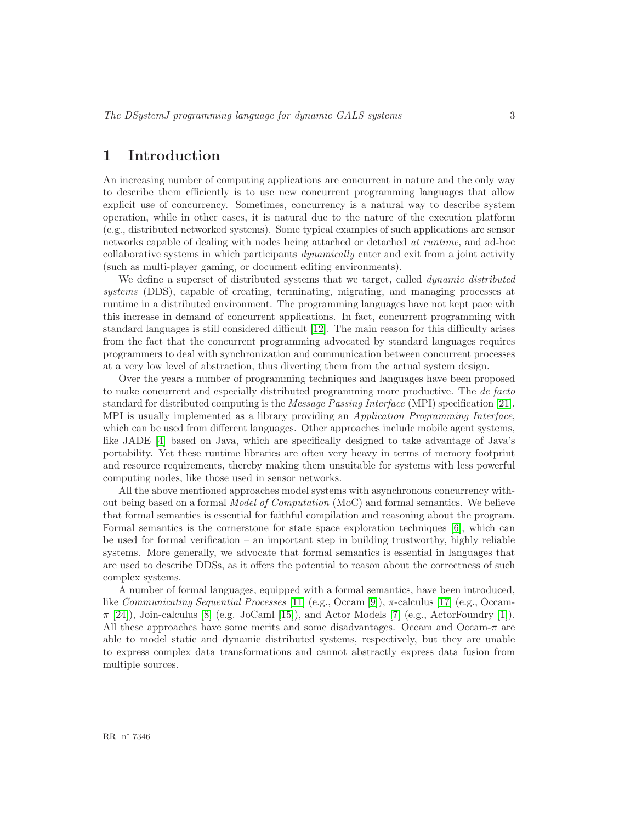# <span id="page-5-0"></span>1 Introduction

An increasing number of computing applications are concurrent in nature and the only way to describe them efficiently is to use new concurrent programming languages that allow explicit use of concurrency. Sometimes, concurrency is a natural way to describe system operation, while in other cases, it is natural due to the nature of the execution platform (e.g., distributed networked systems). Some typical examples of such applications are sensor networks capable of dealing with nodes being attached or detached *at runtime*, and ad-hoc collaborative systems in which participants *dynamically* enter and exit from a joint activity (such as multi-player gaming, or document editing environments).

We define a superset of distributed systems that we target, called *dynamic distributed systems* (DDS), capable of creating, terminating, migrating, and managing processes at runtime in a distributed environment. The programming languages have not kept pace with this increase in demand of concurrent applications. In fact, concurrent programming with standard languages is still considered difficult [\[12\]](#page-31-0). The main reason for this difficulty arises from the fact that the concurrent programming advocated by standard languages requires programmers to deal with synchronization and communication between concurrent processes at a very low level of abstraction, thus diverting them from the actual system design.

Over the years a number of programming techniques and languages have been proposed to make concurrent and especially distributed programming more productive. The *de facto* standard for distributed computing is the *Message Passing Interface* (MPI) specification [\[21\]](#page-32-0). MPI is usually implemented as a library providing an *Application Programming Interface*, which can be used from different languages. Other approaches include mobile agent systems, like JADE [\[4\]](#page-31-1) based on Java, which are specifically designed to take advantage of Java's portability. Yet these runtime libraries are often very heavy in terms of memory footprint and resource requirements, thereby making them unsuitable for systems with less powerful computing nodes, like those used in sensor networks.

All the above mentioned approaches model systems with asynchronous concurrency without being based on a formal *Model of Computation* (MoC) and formal semantics. We believe that formal semantics is essential for faithful compilation and reasoning about the program. Formal semantics is the cornerstone for state space exploration techniques [\[6\]](#page-31-2), which can be used for formal verification – an important step in building trustworthy, highly reliable systems. More generally, we advocate that formal semantics is essential in languages that are used to describe DDSs, as it offers the potential to reason about the correctness of such complex systems.

A number of formal languages, equipped with a formal semantics, have been introduced, like *Communicating Sequential Processes* [\[11\]](#page-31-3) (e.g., Occam [\[9\]](#page-31-4)), π-calculus [\[17\]](#page-32-1) (e.g., Occam- $\pi$  [\[24\]](#page-32-2)), Join-calculus [\[8\]](#page-31-5) (e.g. JoCaml [\[15\]](#page-32-3)), and Actor Models [\[7\]](#page-31-6) (e.g., ActorFoundry [\[1\]](#page-31-7)). All these approaches have some merits and some disadvantages. Occam and Occam- $\pi$  are able to model static and dynamic distributed systems, respectively, but they are unable to express complex data transformations and cannot abstractly express data fusion from multiple sources.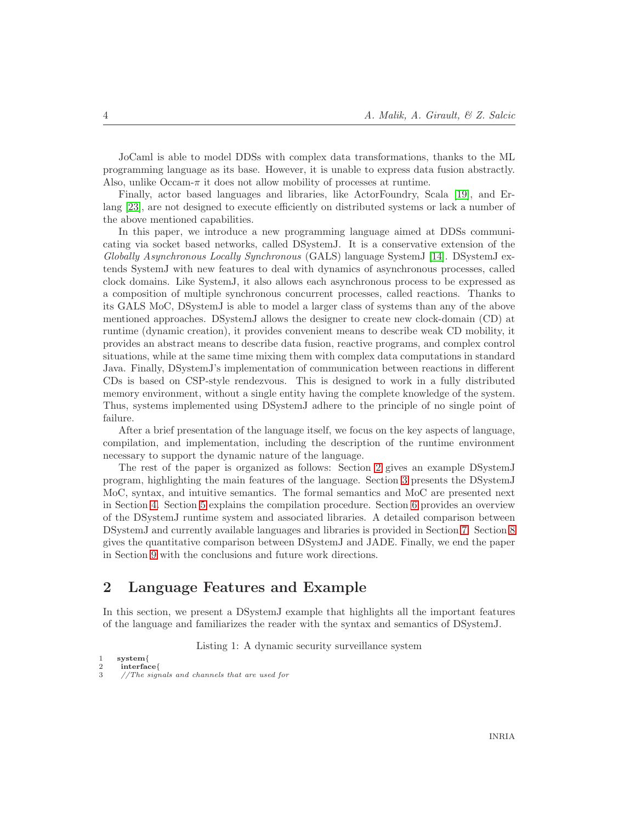JoCaml is able to model DDSs with complex data transformations, thanks to the ML programming language as its base. However, it is unable to express data fusion abstractly. Also, unlike Occam- $\pi$  it does not allow mobility of processes at runtime.

Finally, actor based languages and libraries, like ActorFoundry, Scala [\[19\]](#page-32-4), and Erlang [\[23\]](#page-32-5), are not designed to execute efficiently on distributed systems or lack a number of the above mentioned capabilities.

In this paper, we introduce a new programming language aimed at DDSs communicating via socket based networks, called DSystemJ. It is a conservative extension of the *Globally Asynchronous Locally Synchronous* (GALS) language SystemJ [\[14\]](#page-32-6). DSystemJ extends SystemJ with new features to deal with dynamics of asynchronous processes, called clock domains. Like SystemJ, it also allows each asynchronous process to be expressed as a composition of multiple synchronous concurrent processes, called reactions. Thanks to its GALS MoC, DSystemJ is able to model a larger class of systems than any of the above mentioned approaches. DSystemJ allows the designer to create new clock-domain (CD) at runtime (dynamic creation), it provides convenient means to describe weak CD mobility, it provides an abstract means to describe data fusion, reactive programs, and complex control situations, while at the same time mixing them with complex data computations in standard Java. Finally, DSystemJ's implementation of communication between reactions in different CDs is based on CSP-style rendezvous. This is designed to work in a fully distributed memory environment, without a single entity having the complete knowledge of the system. Thus, systems implemented using DSystemJ adhere to the principle of no single point of failure.

After a brief presentation of the language itself, we focus on the key aspects of language, compilation, and implementation, including the description of the runtime environment necessary to support the dynamic nature of the language.

The rest of the paper is organized as follows: Section [2](#page-6-0) gives an example DSystemJ program, highlighting the main features of the language. Section [3](#page-9-0) presents the DSystemJ MoC, syntax, and intuitive semantics. The formal semantics and MoC are presented next in Section [4.](#page-13-0) Section [5](#page-17-0) explains the compilation procedure. Section [6](#page-21-0) provides an overview of the DSystemJ runtime system and associated libraries. A detailed comparison between DSystemJ and currently available languages and libraries is provided in Section [7.](#page-28-0) Section [8](#page-29-0) gives the quantitative comparison between DSystemJ and JADE. Finally, we end the paper in Section [9](#page-30-0) with the conclusions and future work directions.

# <span id="page-6-0"></span>2 Language Features and Example

<span id="page-6-1"></span>In this section, we present a DSystemJ example that highlights all the important features of the language and familiarizes the reader with the syntax and semantics of DSystemJ.

Listing 1: A dynamic security surveillance system

```
1 system{
```

```
2 interface{<br>3 //The sign
       //The signals and channels that are used for
```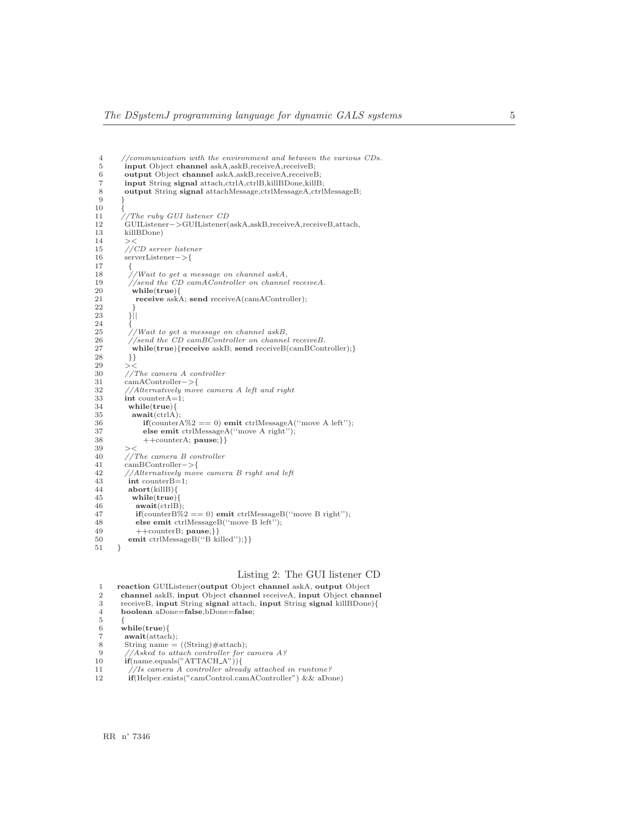```
4 //communication with the environment and between the various CDs.<br>5 input Object channel askA,askB,receiveA,receiveB;
 5 input Object channel askA,askB,receiveA,receiveB;<br>6 output Object channel askA,askB,receiveA,receiveE
 6 output Object channel askA,askB,receiveA,receiveB;
 7 input String signal attach,ctrlA,ctrlB,killBDone,killB;<br>8 output String signal attachMessage,ctrlMessageA,ctrl
            output String signal attachMessage,ctrlMessageA,ctrlMessageB;
 9 }
10\atop1111 //The ruby GUI listener CD
12 GUIListener−>GUIListener(askA,askB,receiveA,receiveB,attach,
13 killBDone)<br>14 ><
\begin{array}{c} 14 \\ 15 \end{array}15 //CD server listener<br>16 serverListener->{
            16 serverListener−>{
\begin{array}{cc} 17 & \phantom{0} \phantom{0} \phantom{0} \phantom{0} 18 & \phantom{0} \end{array}18 \frac{1}{19} //Wait to get a message on channel askA,<br>19 //send the CD camAController on channel
19 //send the CD camAController on channel receiveA.<br>20 while(true){
20 while(true){<br>21 receive ask/
                receive askA; send receiveA(camAController);
\frac{22}{23}3||\frac{24}{25}24 \{25\} //Wait to get a message on channel askB,<br>26 //send the CD camBController on channel
26 //send the CD camBController on channel receiveB.<br>27 while(true){receive askB; send receiveB(camBCont
27 while(true){receive askB; send receiveB(camBController);}<br>28 }
\begin{array}{ccc} 28 & & & \} 29 & & & > < \end{array}29 > 5<br>30 //
30 //The camera A controller<br>31 camAController->{
31 camAController->{<br>32 //Alternatively move
32 //Alternatively move camera A left and right 33 int counterA=1;
34 while(true){<br>35 await(ctrlA)
35 await(\text{ctrlA});<br>36 if(\text{counter.})36 if(counterA\%2 == 0) emit ctrlMessageA("move A left");<br>37 else emit ctrlMessageA("move A right"):
37 else emit ctrlMessageA("move A right");<br>38 + + counterA: pause: } }
38 ++counterA; \textbf{ pause}; }\}<br>39 ><
39 > <<br>40 / 740 //The camera B controller
41 camBController−>{
42 //Alternatively move camera B right and left
43 int counter B=1;<br>44 abort(kill B) {
44 abort(killB){<br>45 while(true)45 while(\text{true}){<br>46 await(\text{ctrlB})46 await(ctrl\overrightarrow{B});<br>47 if(counter \overrightarrow{B}%)
                \textbf{if}(\text{counterB\%2} == 0)emit ctrlMessageB(''move B right'');
48 else emit ctrlMessageB("move B left");<br>
49 + +counterB: pause: \frac{1}{3}49 ++counterB; pause;}}<br>50 emit ctrlMessageB("B killed");}}
51 }
```
# Listing 2: The GUI listener CD<br>to Object channel ask A output Object

<span id="page-7-0"></span>

|                | reaction GUIListener (output Object channel askA, output Object       |
|----------------|-----------------------------------------------------------------------|
| 2              | channel askB, input Object channel receiveA, input Object channel     |
| 3              | receiveB, input String signal attach, input String signal killBDone){ |
| $\overline{4}$ | boolean aDone=false, bDone=false;                                     |
| 5              |                                                                       |
| 6              | while(true)                                                           |
|                | await(attack):                                                        |
| 8              | String name $=$ ((String)#attach);                                    |
| -9             | //Asked to attach controller for camera $A$ ?                         |
| 10             | $if(name.equals("ATTACH_A"))$ }                                       |
| 11             | //Is camera A controller already attached in runtime?                 |
| 12             | <b>if</b> (Helper.exists("camControl.camAController") & aDone)        |
|                |                                                                       |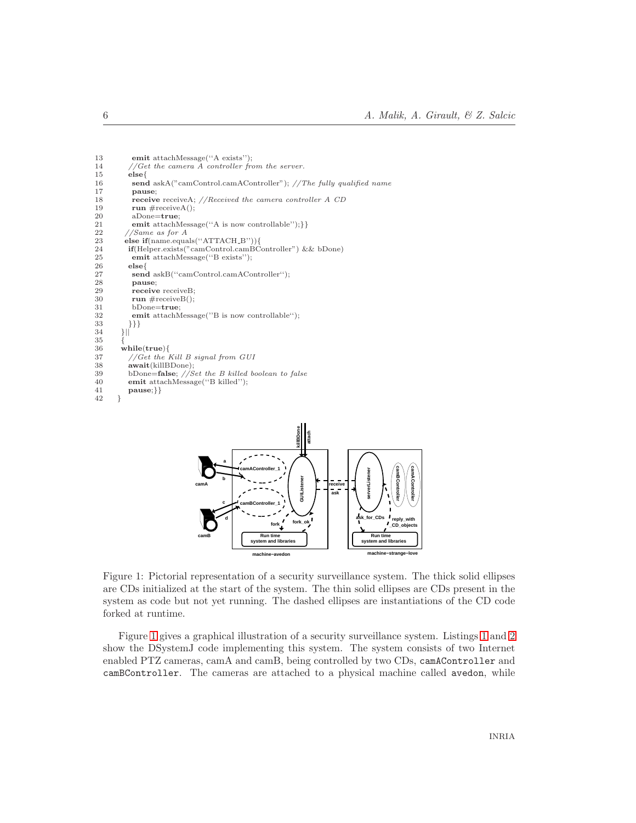```
13 emit attachMessage("A exists");<br>14 //Get the camera A controller from
14 //Get the camera A controller from the server.<br>15 else{
16 send askA("camControl.camAController"); //The fully qualified name<br>17 pause;
17 pause;<br>18 receive
18 receive receiveA; //Received the camera controller A CD run \#receiveA();
19 run #receiveA();<br>20 aDone=true;
20 aDone=true;<br>21 emit attachN
21 emit attachMessage("A is now controllable");}}<br>22 //Same as for A
22 //Same as for A<br>23 else if(name.equa
23 else if(name.equals("ATTACH_B"))}<br>24 if(Helper.exists("camControl.camBC
24 if(Helper.exists("camControl.camBController") && bDone)<br>25 emit attachMessage("B exists");
25 emit attachMessage("B exists");<br>26 else{
26 else\{<br>27 seno
27 send askB("camControl.camAController");<br>28 pause;
28 pause;<br>29 receive
29 receive receiveB;<br>30 run #receiveB();
30 run \# receiveB();<br>31 bDone = true;31 bDone=true;<br>32 emit attachN
32 emit attachMessage(''B is now controllable");<br>33 }}
         \{\{\}\}}}}
34\begin{array}{c} 35 \\ 36 \end{array}36 while(true){
37 //Get the Kill B signal from GUI
38 await(killBDone);<br>39 bDone=false; //S39 bDone=false; //Set the B killed boolean to false<br>40 emit attachMessage("B killed");
\{41}{42} pause;}}
42 }
```


<span id="page-8-0"></span>Figure 1: Pictorial representation of a security surveillance system. The thick solid ellipses are CDs initialized at the start of the system. The thin solid ellipses are CDs present in the system as code but not yet running. The dashed ellipses are instantiations of the CD code forked at runtime.

Figure [1](#page-8-0) gives a graphical illustration of a security surveillance system. Listings [1](#page-6-1) and [2](#page-7-0) show the DSystemJ code implementing this system. The system consists of two Internet enabled PTZ cameras, camA and camB, being controlled by two CDs, camAController and camBController. The cameras are attached to a physical machine called avedon, while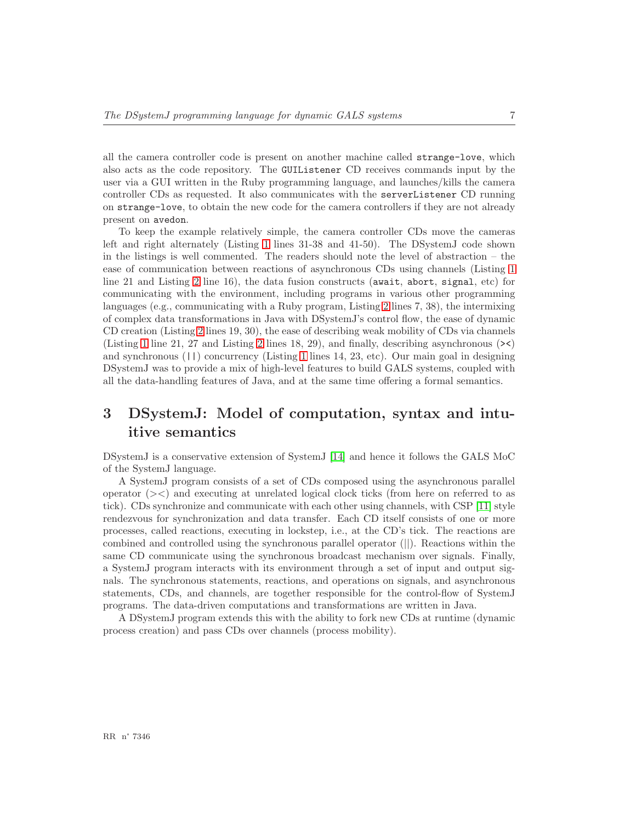all the camera controller code is present on another machine called strange-love, which also acts as the code repository. The GUIListener CD receives commands input by the user via a GUI written in the Ruby programming language, and launches/kills the camera controller CDs as requested. It also communicates with the serverListener CD running on strange-love, to obtain the new code for the camera controllers if they are not already present on avedon.

To keep the example relatively simple, the camera controller CDs move the cameras left and right alternately (Listing [1](#page-6-1) lines 31-38 and 41-50). The DSystemJ code shown in the listings is well commented. The readers should note the level of abstraction – the ease of communication between reactions of asynchronous CDs using channels (Listing [1](#page-6-1) line 21 and Listing [2](#page-7-0) line 16), the data fusion constructs (await, abort, signal, etc) for communicating with the environment, including programs in various other programming languages (e.g., communicating with a Ruby program, Listing [2](#page-7-0) lines 7, 38), the intermixing of complex data transformations in Java with DSystemJ's control flow, the ease of dynamic CD creation (Listing [2](#page-7-0) lines 19, 30), the ease of describing weak mobility of CDs via channels (Listing [1](#page-6-1) line 21, 27 and Listing [2](#page-7-0) lines 18, 29), and finally, describing asynchronous (><) and synchronous (||) concurrency (Listing [1](#page-6-1) lines 14, 23, etc). Our main goal in designing DSystemJ was to provide a mix of high-level features to build GALS systems, coupled with all the data-handling features of Java, and at the same time offering a formal semantics.

# <span id="page-9-0"></span>3 DSystemJ: Model of computation, syntax and intuitive semantics

DSystemJ is a conservative extension of SystemJ [\[14\]](#page-32-6) and hence it follows the GALS MoC of the SystemJ language.

A SystemJ program consists of a set of CDs composed using the asynchronous parallel operator  $(\geq)$  and executing at unrelated logical clock ticks (from here on referred to as tick). CDs synchronize and communicate with each other using channels, with CSP [\[11\]](#page-31-3) style rendezvous for synchronization and data transfer. Each CD itself consists of one or more processes, called reactions, executing in lockstep, i.e., at the CD's tick. The reactions are combined and controlled using the synchronous parallel operator (||). Reactions within the same CD communicate using the synchronous broadcast mechanism over signals. Finally, a SystemJ program interacts with its environment through a set of input and output signals. The synchronous statements, reactions, and operations on signals, and asynchronous statements, CDs, and channels, are together responsible for the control-flow of SystemJ programs. The data-driven computations and transformations are written in Java.

A DSystemJ program extends this with the ability to fork new CDs at runtime (dynamic process creation) and pass CDs over channels (process mobility).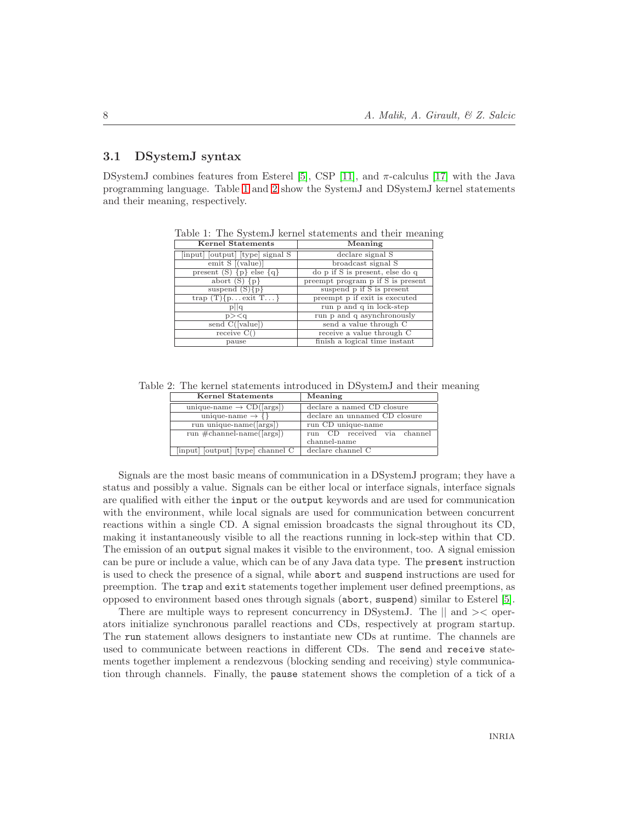# <span id="page-10-2"></span>3.1 DSystemJ syntax

DSystemJ combines features from Esterel [\[5\]](#page-31-8), CSP [\[11\]](#page-31-3), and  $\pi$ -calculus [\[17\]](#page-32-1) with the Java programming language. Table [1](#page-10-0) and [2](#page-10-1) show the SystemJ and DSystemJ kernel statements and their meaning, respectively.

<span id="page-10-0"></span>

| <b>Kernel Statements</b>         | Meaning                           |
|----------------------------------|-----------------------------------|
| [input] [output] [type] signal S | declare signal S                  |
| emit $S$ [(value)]               | broadcast signal S                |
| present $(S) \{p\}$ else $\{q\}$ | do p if S is present, else do q   |
| abort $(S) \{p\}$                | present program p if S is present |
| suspend $(S){p}$                 | suspend p if S is present         |
| trap $(T)$ {pexit $T$ }          | preempt p if exit is executed     |
| p  q                             | run p and q in lock-step          |
| $p$ > $\lt q$                    | run p and q asynchronously        |
| send $C([value])$                | send a value through C            |
| receive C()                      | receive a value through C         |
| pause                            | finish a logical time instant     |

Table 1: The SystemJ kernel statements and their meaning

Table 2: The kernel statements introduced in DSystemJ and their meaning

<span id="page-10-1"></span>

| <b>Kernel Statements</b>                         | Meaning                       |
|--------------------------------------------------|-------------------------------|
|                                                  |                               |
| unique-name $\rightarrow$ CD([args])             | declare a named CD closure    |
| unique-name $\rightarrow \{\}$                   | declare an unnamed CD closure |
| run unique-name( $\langle \text{args} \rangle$ ) | run CD unique-name            |
| run $\#channel\text{-}name([args])$              | run CD received via channel   |
|                                                  | channel-name                  |
| [input] [output] [type] channel C                | declare channel C             |

Signals are the most basic means of communication in a DSystemJ program; they have a status and possibly a value. Signals can be either local or interface signals, interface signals are qualified with either the input or the output keywords and are used for communication with the environment, while local signals are used for communication between concurrent reactions within a single CD. A signal emission broadcasts the signal throughout its CD, making it instantaneously visible to all the reactions running in lock-step within that CD. The emission of an output signal makes it visible to the environment, too. A signal emission can be pure or include a value, which can be of any Java data type. The present instruction is used to check the presence of a signal, while abort and suspend instructions are used for preemption. The trap and exit statements together implement user defined preemptions, as opposed to environment based ones through signals (abort, suspend) similar to Esterel [\[5\]](#page-31-8).

There are multiple ways to represent concurrency in DSystemJ. The  $\parallel$  and  $\geq$  operators initialize synchronous parallel reactions and CDs, respectively at program startup. The run statement allows designers to instantiate new CDs at runtime. The channels are used to communicate between reactions in different CDs. The send and receive statements together implement a rendezvous (blocking sending and receiving) style communication through channels. Finally, the pause statement shows the completion of a tick of a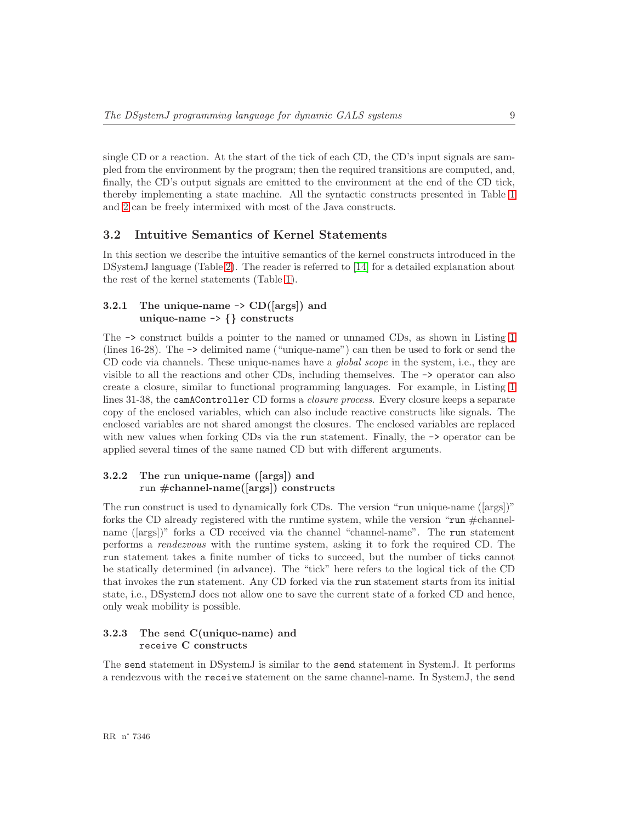single CD or a reaction. At the start of the tick of each CD, the CD's input signals are sampled from the environment by the program; then the required transitions are computed, and, finally, the CD's output signals are emitted to the environment at the end of the CD tick, thereby implementing a state machine. All the syntactic constructs presented in Table [1](#page-10-0) and [2](#page-10-1) can be freely intermixed with most of the Java constructs.

# <span id="page-11-1"></span>3.2 Intuitive Semantics of Kernel Statements

In this section we describe the intuitive semantics of the kernel constructs introduced in the DSystemJ language (Table [2\)](#page-10-1). The reader is referred to [\[14\]](#page-32-6) for a detailed explanation about the rest of the kernel statements (Table [1\)](#page-10-0).

# <span id="page-11-2"></span>3.2.1 The unique-name  $\rightarrow$  CD([args]) and unique-name -> {} constructs

The -> construct builds a pointer to the named or unnamed CDs, as shown in Listing [1](#page-6-1) (lines 16-28). The -> delimited name ("unique-name") can then be used to fork or send the CD code via channels. These unique-names have a *global scope* in the system, i.e., they are visible to all the reactions and other CDs, including themselves. The -> operator can also create a closure, similar to functional programming languages. For example, in Listing [1](#page-6-1) lines 31-38, the camAController CD forms a *closure process*. Every closure keeps a separate copy of the enclosed variables, which can also include reactive constructs like signals. The enclosed variables are not shared amongst the closures. The enclosed variables are replaced with new values when forking CDs via the run statement. Finally, the  $\rightarrow$  operator can be applied several times of the same named CD but with different arguments.

# <span id="page-11-3"></span>3.2.2 The run unique-name ([args]) and run #channel-name([args]) constructs

The run construct is used to dynamically fork CDs. The version "run unique-name ([args])" forks the CD already registered with the runtime system, while the version " $run \#channel$ name ([args])" forks a CD received via the channel "channel-name". The run statement performs a *rendezvous* with the runtime system, asking it to fork the required CD. The run statement takes a finite number of ticks to succeed, but the number of ticks cannot be statically determined (in advance). The "tick" here refers to the logical tick of the CD that invokes the run statement. Any CD forked via the run statement starts from its initial state, i.e., DSystemJ does not allow one to save the current state of a forked CD and hence, only weak mobility is possible.

# <span id="page-11-0"></span>3.2.3 The send C(unique-name) and receive C constructs

The send statement in DSystemJ is similar to the send statement in SystemJ. It performs a rendezvous with the receive statement on the same channel-name. In SystemJ, the send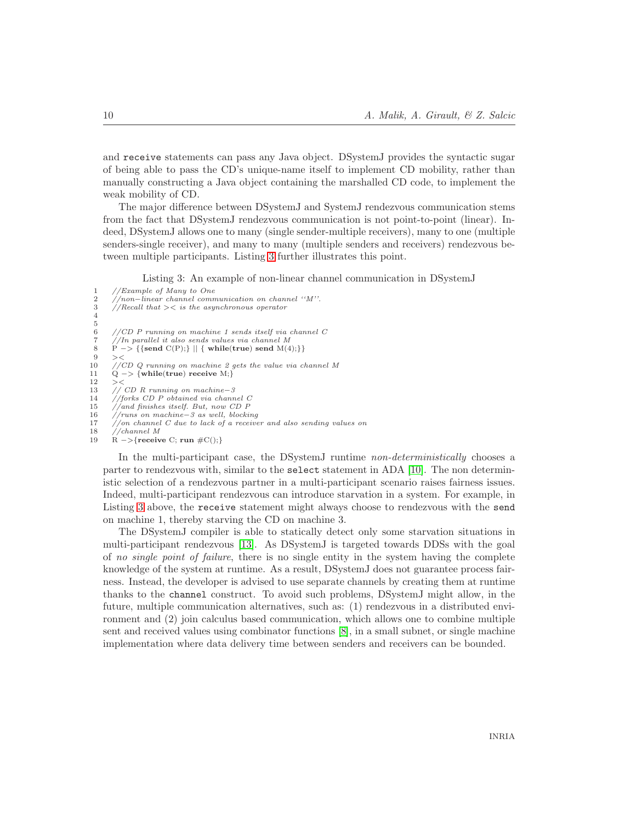and receive statements can pass any Java object. DSystemJ provides the syntactic sugar of being able to pass the CD's unique-name itself to implement CD mobility, rather than manually constructing a Java object containing the marshalled CD code, to implement the weak mobility of CD.

The major difference between DSystemJ and SystemJ rendezvous communication stems from the fact that DSystemJ rendezvous communication is not point-to-point (linear). Indeed, DSystemJ allows one to many (single sender-multiple receivers), many to one (multiple senders-single receiver), and many to many (multiple senders and receivers) rendezvous between multiple participants. Listing [3](#page-12-0) further illustrates this point.

Listing 3: An example of non-linear channel communication in DSystemJ

<span id="page-12-0"></span>1  $//Example of Many to One$ <br>2  $//non-linear channel comm$ 2 //non−linear channel communication on channel ''M''.<br>3 //Recall that >  $\lt$  is the asynchronous operator  $1/|\text{Recall that }>*is the asymptotonic operator*$ 4  $\frac{5}{6}$ 6 //CD P running on machine 1 sends itself via channel  $C$  //In parallel it also sends values via channel  $M$ 7 //In parallel it also sends values via channel M<br>8 P -> {{send C(P);} || { while(true) send M(4);}}  $9 > <$ <br>10 // 10 //CD Q running on machine 2 gets the value via channel M<br>11 0 -> {while(true) receive M:} 11  $Q \rightarrow \{\text{while}(\text{true}) \text{ receive } M\}$ <br>12 ><  $><$ 13 // CD R running on machine−3<br>14 //forks CD P obtained via chann  $1/$ forks CD P obtained via channel C 15 //and finishes itself. But, now CD P 16 //runs on machine−3 as well, blocking 17 //on channel C due to lack of a receiver and also sending values on 18 //channel M<br>19 B  $\rightarrow$  free is

 $R \rightarrow$ {receive C; run  $\#C()$ ;}

In the multi-participant case, the DSystemJ runtime *non-deterministically* chooses a parter to rendezvous with, similar to the select statement in ADA [\[10\]](#page-31-9). The non deterministic selection of a rendezvous partner in a multi-participant scenario raises fairness issues. Indeed, multi-participant rendezvous can introduce starvation in a system. For example, in Listing [3](#page-12-0) above, the receive statement might always choose to rendezvous with the send on machine 1, thereby starving the CD on machine 3.

The DSystemJ compiler is able to statically detect only some starvation situations in multi-participant rendezvous [\[13\]](#page-31-10). As DSystemJ is targeted towards DDSs with the goal of *no single point of failure*, there is no single entity in the system having the complete knowledge of the system at runtime. As a result, DSystemJ does not guarantee process fairness. Instead, the developer is advised to use separate channels by creating them at runtime thanks to the channel construct. To avoid such problems, DSystemJ might allow, in the future, multiple communication alternatives, such as: (1) rendezvous in a distributed environment and (2) join calculus based communication, which allows one to combine multiple sent and received values using combinator functions [\[8\]](#page-31-5), in a small subnet, or single machine implementation where data delivery time between senders and receivers can be bounded.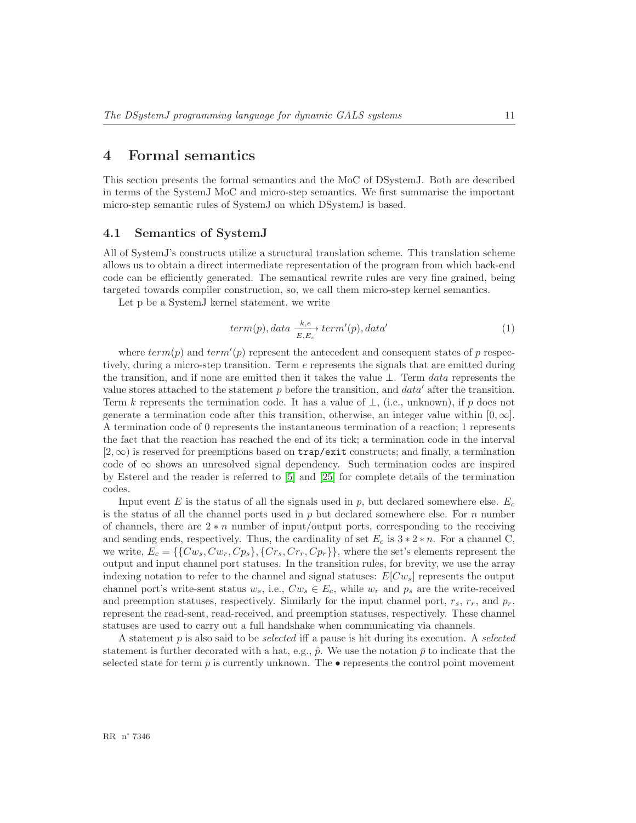# <span id="page-13-0"></span>4 Formal semantics

This section presents the formal semantics and the MoC of DSystemJ. Both are described in terms of the SystemJ MoC and micro-step semantics. We first summarise the important micro-step semantic rules of SystemJ on which DSystemJ is based.

# <span id="page-13-1"></span>4.1 Semantics of SystemJ

All of SystemJ's constructs utilize a structural translation scheme. This translation scheme allows us to obtain a direct intermediate representation of the program from which back-end code can be efficiently generated. The semantical rewrite rules are very fine grained, being targeted towards compiler construction, so, we call them micro-step kernel semantics.

Let p be a SystemJ kernel statement, we write

$$
term(p), data \xrightarrow[E, E_c]{} term'(p), data'
$$
 (1)

where  $term(p)$  and  $term'(p)$  represent the antecedent and consequent states of p respectively, during a micro-step transition. Term e represents the signals that are emitted during the transition, and if none are emitted then it takes the value ⊥. Term data represents the value stores attached to the statement  $p$  before the transition, and  $data'$  after the transition. Term k represents the termination code. It has a value of  $\bot$ , (i.e., unknown), if p does not generate a termination code after this transition, otherwise, an integer value within  $[0, \infty]$ . A termination code of 0 represents the instantaneous termination of a reaction; 1 represents the fact that the reaction has reached the end of its tick; a termination code in the interval  $[2,\infty)$  is reserved for preemptions based on trap/exit constructs; and finally, a termination code of  $\infty$  shows an unresolved signal dependency. Such termination codes are inspired by Esterel and the reader is referred to [\[5\]](#page-31-8) and [\[25\]](#page-32-7) for complete details of the termination codes.

Input event E is the status of all the signals used in  $p$ , but declared somewhere else.  $E_c$ is the status of all the channel ports used in  $p$  but declared somewhere else. For  $n$  number of channels, there are  $2 * n$  number of input/output ports, corresponding to the receiving and sending ends, respectively. Thus, the cardinality of set  $E_c$  is  $3 * 2 * n$ . For a channel C, we write,  $E_c = \{\{Cw_s, Cw_r, Cp_s\}, \{Cr_s, Cr_r, Cp_r\}\}\$ , where the set's elements represent the output and input channel port statuses. In the transition rules, for brevity, we use the array indexing notation to refer to the channel and signal statuses:  $E[Cw_s]$  represents the output channel port's write-sent status  $w_s$ , i.e.,  $Cw_s \in E_c$ , while  $w_r$  and  $p_s$  are the write-received and preemption statuses, respectively. Similarly for the input channel port,  $r_s$ ,  $r_r$ , and  $p_r$ , represent the read-sent, read-received, and preemption statuses, respectively. These channel statuses are used to carry out a full handshake when communicating via channels.

A statement p is also said to be *selected* iff a pause is hit during its execution. A *selected* statement is further decorated with a hat, e.g.,  $\hat{p}$ . We use the notation  $\bar{p}$  to indicate that the selected state for term  $p$  is currently unknown. The  $\bullet$  represents the control point movement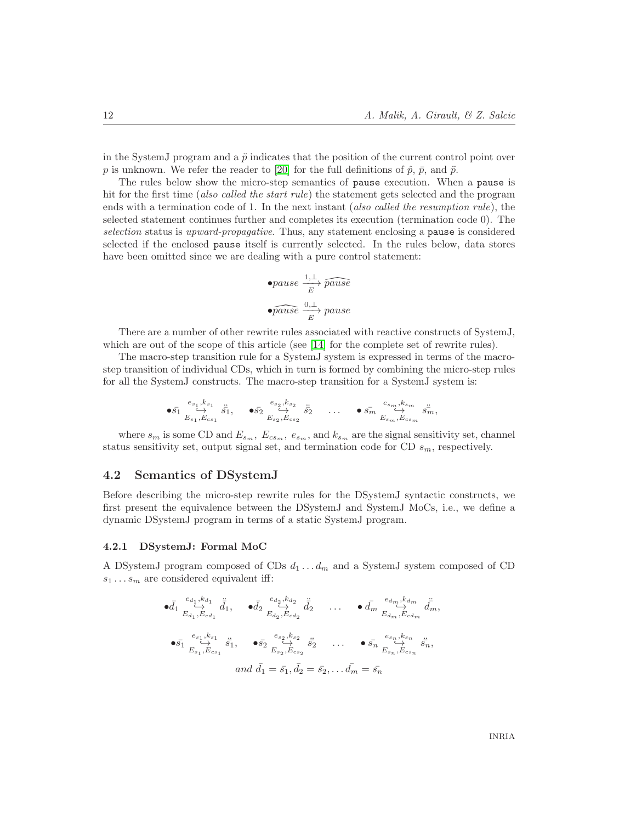in the SystemJ program and a  $\ddot{p}$  indicates that the position of the current control point over p is unknown. We refer the reader to [\[20\]](#page-32-8) for the full definitions of  $\hat{p}$ ,  $\bar{p}$ , and  $\ddot{p}$ .

The rules below show the micro-step semantics of pause execution. When a pause is hit for the first time (*also called the start rule*) the statement gets selected and the program ends with a termination code of 1. In the next instant (*also called the resumption rule*), the selected statement continues further and completes its execution (termination code 0). The *selection* status is *upward-propagative*. Thus, any statement enclosing a pause is considered selected if the enclosed pause itself is currently selected. In the rules below, data stores have been omitted since we are dealing with a pure control statement:

$$
\bullet \textit{pause} \xrightarrow{1, \perp} \textit{pause}
$$
\n
$$
\bullet \textit{pause} \xrightarrow{0, \perp} \textit{pause}
$$

There are a number of other rewrite rules associated with reactive constructs of SystemJ, which are out of the scope of this article (see [\[14\]](#page-32-6) for the complete set of rewrite rules).

The macro-step transition rule for a SystemJ system is expressed in terms of the macrostep transition of individual CDs, which in turn is formed by combining the micro-step rules for all the SystemJ constructs. The macro-step transition for a SystemJ system is:

$$
\bullet \bar{s_1} \overset{e_{s_1},k_{s_1}}{\underset{E_{s_1},E_{cs_1}}{\hookrightarrow}} \bar{s_1}, \quad \bullet \bar{s_2} \overset{e_{s_2},k_{s_2}}{\underset{E_{s_2},E_{cs_2}}{\hookrightarrow}} \bar{s_2} \quad \ldots \quad \bullet \bar{s_m} \overset{e_{s_m},k_{s_m}}{\underset{E_{s_m},E_{cs_m}}{\hookrightarrow}} \bar{s_m},
$$

where  $s_m$  is some CD and  $E_{s_m}$ ,  $E_{cs_m}$ ,  $e_{s_m}$ , and  $k_{s_m}$  are the signal sensitivity set, channel status sensitivity set, output signal set, and termination code for CD  $s_m$ , respectively.

## <span id="page-14-0"></span>4.2 Semantics of DSystemJ

Before describing the micro-step rewrite rules for the DSystemJ syntactic constructs, we first present the equivalence between the DSystemJ and SystemJ MoCs, i.e., we define a dynamic DSystemJ program in terms of a static SystemJ program.

#### <span id="page-14-1"></span>4.2.1 DSystemJ: Formal MoC

A DSystemJ program composed of CDs  $d_1 \ldots d_m$  and a SystemJ system composed of CD  $s_1 \ldots s_m$  are considered equivalent iff:

$$
\begin{aligned}\n\bullet \bar{d}_1 \stackrel{e_{d_1}, k_{d_1}}{\leftrightarrow} \vec{d}_1, \quad \bullet \bar{d}_2 \stackrel{e_{d_2}, k_{d_2}}{\leftrightarrow} \vec{d}_2 \quad \dots \quad \bullet \bar{d}_m \stackrel{e_{d_m}, k_{d_m}}{\leftrightarrow} \vec{d}_m, \\
\bullet \bar{s}_1 \stackrel{e_{s_1}, k_{s_1}}{\leftrightarrow} \vec{s}_1, \quad \bullet \bar{s}_2 \stackrel{e_{s_2}, k_{s_2}}{\leftrightarrow} \vec{s}_2 \quad \dots \quad \bullet \bar{s}_n \stackrel{e_{s_n}, k_{s_n}}{\leftrightarrow} \vec{s}_n, \\
&\text{and } \bar{d}_1 = \bar{s}_1, \bar{d}_2 = \bar{s}_2, \dots \bar{d}_m = \bar{s}_n\n\end{aligned}
$$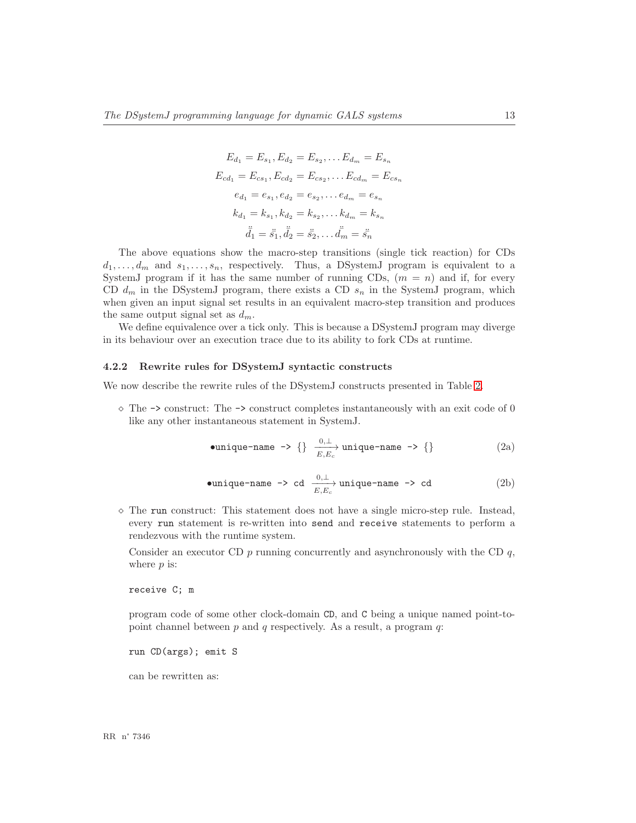$$
E_{d_1} = E_{s_1}, E_{d_2} = E_{s_2}, \dots E_{d_m} = E_{s_n}
$$
  
\n
$$
E_{cd_1} = E_{cs_1}, E_{cd_2} = E_{cs_2}, \dots E_{cd_m} = E_{cs_n}
$$
  
\n
$$
e_{d_1} = e_{s_1}, e_{d_2} = e_{s_2}, \dots e_{d_m} = e_{s_n}
$$
  
\n
$$
k_{d_1} = k_{s_1}, k_{d_2} = k_{s_2}, \dots k_{d_m} = k_{s_n}
$$
  
\n
$$
\ddot{d_1} = \ddot{s_1}, \ddot{d_2} = \ddot{s_2}, \dots \ddot{d_m} = \ddot{s_n}
$$

The above equations show the macro-step transitions (single tick reaction) for CDs  $d_1, \ldots, d_m$  and  $s_1, \ldots, s_n$ , respectively. Thus, a DSystemJ program is equivalent to a SystemJ program if it has the same number of running CDs,  $(m = n)$  and if, for every CD  $d_m$  in the DSystemJ program, there exists a CD  $s_n$  in the SystemJ program, which when given an input signal set results in an equivalent macro-step transition and produces the same output signal set as  $d_m$ .

We define equivalence over a tick only. This is because a DSystemJ program may diverge in its behaviour over an execution trace due to its ability to fork CDs at runtime.

### <span id="page-15-0"></span>4.2.2 Rewrite rules for DSystemJ syntactic constructs

We now describe the rewrite rules of the DSystemJ constructs presented in Table [2.](#page-10-1)

 $\diamond$  The  $\rightarrow$  construct: The  $\rightarrow$  construct completes instantaneously with an exit code of 0 like any other instantaneous statement in SystemJ.

$$
\bullet unique-name \ \rightarrow \{\} \ \frac{0, \perp}{E, E_c} \ \text{unique-name} \ \rightarrow \{\} \tag{2a}
$$

$$
\bullet \text{unique-name} \ \texttt{\texttt{-aame}} \ \texttt{\texttt{-b} \ cd} \ \xrightarrow{\begin{array}{c} 0,\bot \\ E, E_c \end{array}} \text{unique-name} \ \texttt{\texttt{-b} \ cd} \tag{2b}
$$

 $\diamond$  The run construct: This statement does not have a single micro-step rule. Instead, every run statement is re-written into send and receive statements to perform a rendezvous with the runtime system.

Consider an executor CD  $p$  running concurrently and asynchronously with the CD  $q$ , where  $p$  is:

receive C; m

program code of some other clock-domain CD, and C being a unique named point-topoint channel between  $p$  and  $q$  respectively. As a result, a program  $q$ :

run CD(args); emit S

can be rewritten as:

RR n° 7346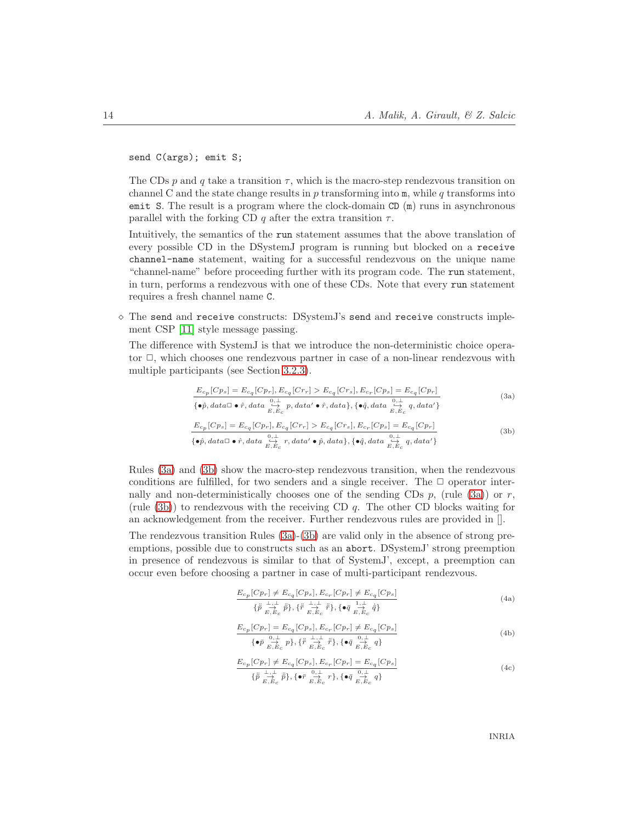send C(args); emit S;

The CDs p and q take a transition  $\tau$ , which is the macro-step rendezvous transition on channel C and the state change results in  $p$  transforming into  $m$ , while  $q$  transforms into emit S. The result is a program where the clock-domain  $CD(m)$  runs in asynchronous parallel with the forking CD q after the extra transition  $\tau$ .

Intuitively, the semantics of the run statement assumes that the above translation of every possible CD in the DSystemJ program is running but blocked on a receive channel-name statement, waiting for a successful rendezvous on the unique name "channel-name" before proceeding further with its program code. The run statement, in turn, performs a rendezvous with one of these CDs. Note that every run statement requires a fresh channel name C.

 $\diamond$  The send and receive constructs: DSystemJ's send and receive constructs implement CSP [\[11\]](#page-31-3) style message passing.

The difference with SystemJ is that we introduce the non-deterministic choice operator  $\Box$ , which chooses one rendezvous partner in case of a non-linear rendezvous with multiple participants (see Section [3.2.3\)](#page-11-0).

$$
\frac{E_{c_p}[Cp_s] = E_{c_q}[Cp_r], E_{c_q}[Cr_r] > E_{c_q}[Cr_s], E_{c_r}[Cp_s] = E_{c_q}[Cp_r]}{\{\bullet \hat{p}, data \Box \bullet \hat{r}, data \sum_{\substack{c \to c \\ E, E_c}} p, data' \bullet \hat{r}, data\}, \{\bullet \hat{q}, data \sum_{\substack{c \to c \\ E, E_c}} q, data'\}}\tag{3a}
$$

$$
\frac{E_{c_p}[Cp_s] = E_{c_q}[Cp_r], E_{c_q}[Cr_r] > E_{c_q}[Cr_s], E_{c_r}[Cp_s] = E_{c_q}[Cp_r]}{\{\bullet \hat{p}, data \Box \bullet \hat{r}, data \overset{0, \perp}{\underset{E, E_c}{\rightleftharpoons} r}, data' \bullet \hat{p}, data}, \{\bullet \hat{q}, data \overset{0, \perp}{\underset{E, E_c}{\rightleftharpoons} q}, data'\}} \tag{3b}
$$

Rules [\(3a\)](#page-16-0) and [\(3b\)](#page-16-1) show the macro-step rendezvous transition, when the rendezvous conditions are fulfilled, for two senders and a single receiver. The  $\Box$  operator internally and non-deterministically chooses one of the sending CDs  $p$ , (rule [\(3a\)](#page-16-0)) or r, (rule  $(3b)$ ) to rendezvous with the receiving CD q. The other CD blocks waiting for an acknowledgement from the receiver. Further rendezvous rules are provided in [].

<span id="page-16-1"></span><span id="page-16-0"></span>The rendezvous transition Rules [\(3a\)](#page-16-0)-[\(3b\)](#page-16-1) are valid only in the absence of strong preemptions, possible due to constructs such as an abort. DSystemJ' strong preemption in presence of rendezvous is similar to that of SystemJ', except, a preemption can occur even before choosing a partner in case of multi-participant rendezvous.

$$
\frac{E_{c_p}[Cp_r] \neq E_{c_q}[Cp_s], E_{c_r}[Cp_r] \neq E_{c_q}[Cp_s]}{\{\tilde{p} \sum_{E, E_c} + \sum_{i=1}^{n} \tilde{p}\}, \{\tilde{r} \sum_{E, E_c} + \tilde{r}\}, \{\bullet \bar{q} \sum_{E, E_c} + \frac{1}{q}\}\}
$$
\n
$$
(4a)
$$

$$
\frac{E_{c_p}[Cp_r] = E_{c_q}[Cp_s], E_{c_r}[Cp_r] \neq E_{c_q}[Cp_s]}{\{\bullet \bar{p} \sum_{E, E_C}^{0, \perp} p\}, \{\ddot{r} \sum_{E, E_C}^{1, \perp} \ddot{r}\}, \{\bullet \bar{q} \sum_{E, E_C}^{0, \perp} q\}}
$$
\n
$$
(4b)
$$

<span id="page-16-2"></span>
$$
\frac{E_{c_p}[Cp_r] \neq E_{c_q}[Cp_s], E_{c_r}[Cp_r] = E_{c_q}[Cp_s]}{\{\tilde{p} \sum_{E, E_c}^{\perp} \tilde{p}\}, {\{\bullet\bar{r} \sum_{E, E_c}^{0, \perp} r\}, {\{\bullet\bar{q} \sum_{E, E_c}^{0, \perp} q\}}}
$$
\n(4c)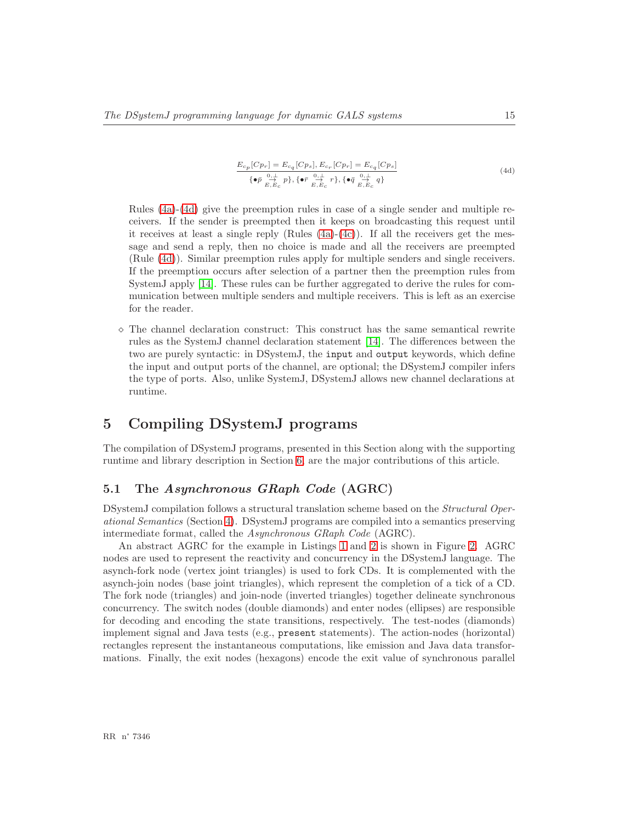$$
\frac{E_{c_p}[Cp_r] = E_{c_q}[Cp_s], E_{c_r}[Cp_r] = E_{c_q}[Cp_s]}{\{\bullet \bar{p} \sum_{E, E_c}^{0, \perp} p\}, \{\bullet \bar{r} \sum_{E, E_c}^{0, \perp} r\}, \{\bullet \bar{q} \sum_{E, E_c}^{0, \perp} q\}}
$$
\n(4d)

<span id="page-17-1"></span>Rules [\(4a\)](#page-16-0)-[\(4d\)](#page-17-1) give the preemption rules in case of a single sender and multiple receivers. If the sender is preempted then it keeps on broadcasting this request until it receives at least a single reply (Rules  $(4a)-(4c)$  $(4a)-(4c)$ ). If all the receivers get the message and send a reply, then no choice is made and all the receivers are preempted (Rule [\(4d\)](#page-17-1)). Similar preemption rules apply for multiple senders and single receivers. If the preemption occurs after selection of a partner then the preemption rules from SystemJ apply [\[14\]](#page-32-6). These rules can be further aggregated to derive the rules for communication between multiple senders and multiple receivers. This is left as an exercise for the reader.

 $\diamond$  The channel declaration construct: This construct has the same semantical rewrite rules as the SystemJ channel declaration statement [\[14\]](#page-32-6). The differences between the two are purely syntactic: in DSystemJ, the input and output keywords, which define the input and output ports of the channel, are optional; the DSystemJ compiler infers the type of ports. Also, unlike SystemJ, DSystemJ allows new channel declarations at runtime.

# <span id="page-17-0"></span>5 Compiling DSystemJ programs

The compilation of DSystemJ programs, presented in this Section along with the supporting runtime and library description in Section [6,](#page-21-0) are the major contributions of this article.

# <span id="page-17-2"></span>5.1 The Asynchronous GRaph Code (AGRC)

DSystemJ compilation follows a structural translation scheme based on the *Structural Operational Semantics* (Section [4\)](#page-13-0). DSystemJ programs are compiled into a semantics preserving intermediate format, called the *Asynchronous GRaph Code* (AGRC).

An abstract AGRC for the example in Listings [1](#page-6-1) and [2](#page-7-0) is shown in Figure [2.](#page-18-0) AGRC nodes are used to represent the reactivity and concurrency in the DSystemJ language. The asynch-fork node (vertex joint triangles) is used to fork CDs. It is complemented with the asynch-join nodes (base joint triangles), which represent the completion of a tick of a CD. The fork node (triangles) and join-node (inverted triangles) together delineate synchronous concurrency. The switch nodes (double diamonds) and enter nodes (ellipses) are responsible for decoding and encoding the state transitions, respectively. The test-nodes (diamonds) implement signal and Java tests (e.g., present statements). The action-nodes (horizontal) rectangles represent the instantaneous computations, like emission and Java data transformations. Finally, the exit nodes (hexagons) encode the exit value of synchronous parallel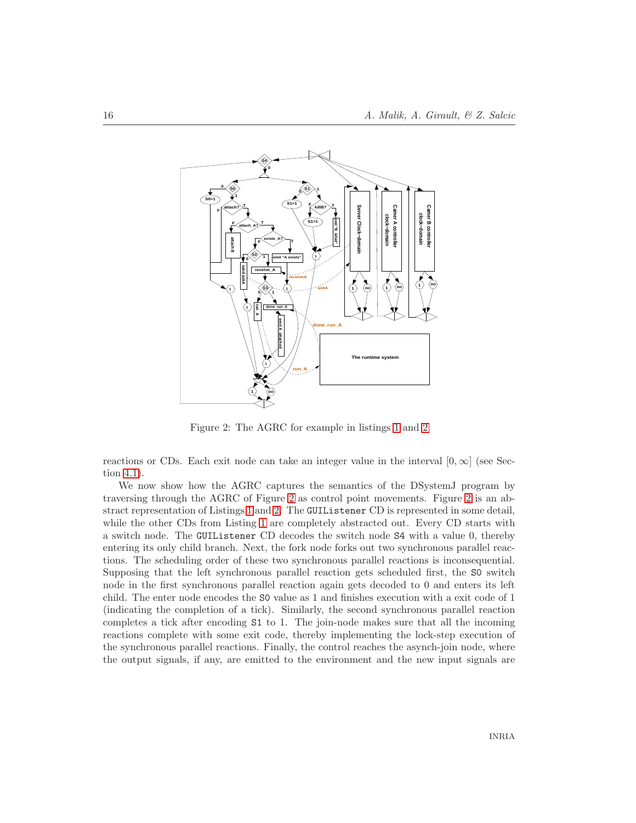

<span id="page-18-0"></span>Figure 2: The AGRC for example in listings [1](#page-6-1) and [2](#page-7-0)

reactions or CDs. Each exit node can take an integer value in the interval  $[0, \infty]$  (see Section [4.1\)](#page-13-1).

We now show how the AGRC captures the semantics of the DSystemJ program by traversing through the AGRC of Figure [2](#page-18-0) as control point movements. Figure [2](#page-18-0) is an abstract representation of Listings [1](#page-6-1) and [2.](#page-7-0) The GUIListener CD is represented in some detail, while the other CDs from Listing [1](#page-6-1) are completely abstracted out. Every CD starts with a switch node. The GUIListener CD decodes the switch node S4 with a value 0, thereby entering its only child branch. Next, the fork node forks out two synchronous parallel reactions. The scheduling order of these two synchronous parallel reactions is inconsequential. Supposing that the left synchronous parallel reaction gets scheduled first, the S0 switch node in the first synchronous parallel reaction again gets decoded to 0 and enters its left child. The enter node encodes the S0 value as 1 and finishes execution with a exit code of 1 (indicating the completion of a tick). Similarly, the second synchronous parallel reaction completes a tick after encoding S1 to 1. The join-node makes sure that all the incoming reactions complete with some exit code, thereby implementing the lock-step execution of the synchronous parallel reactions. Finally, the control reaches the asynch-join node, where the output signals, if any, are emitted to the environment and the new input signals are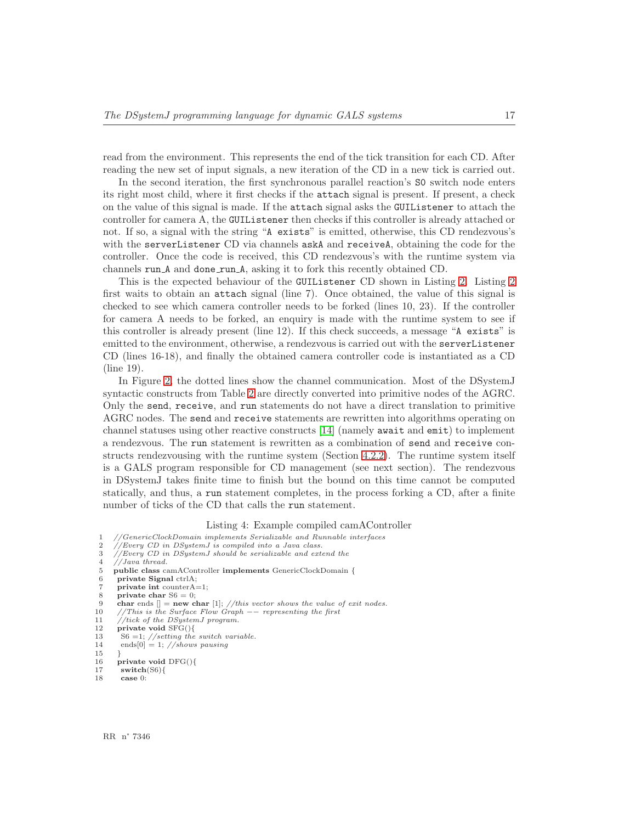read from the environment. This represents the end of the tick transition for each CD. After reading the new set of input signals, a new iteration of the CD in a new tick is carried out.

In the second iteration, the first synchronous parallel reaction's S0 switch node enters its right most child, where it first checks if the attach signal is present. If present, a check on the value of this signal is made. If the attach signal asks the GUIListener to attach the controller for camera A, the GUIListener then checks if this controller is already attached or not. If so, a signal with the string "A exists" is emitted, otherwise, this CD rendezvous's with the serverListener CD via channels askA and receiveA, obtaining the code for the controller. Once the code is received, this CD rendezvous's with the runtime system via channels run A and done run A, asking it to fork this recently obtained CD.

This is the expected behaviour of the GUIListener CD shown in Listing [2.](#page-7-0) Listing [2](#page-7-0) first waits to obtain an attach signal (line 7). Once obtained, the value of this signal is checked to see which camera controller needs to be forked (lines 10, 23). If the controller for camera A needs to be forked, an enquiry is made with the runtime system to see if this controller is already present (line 12). If this check succeeds, a message "A exists" is emitted to the environment, otherwise, a rendezvous is carried out with the serverListener CD (lines 16-18), and finally the obtained camera controller code is instantiated as a CD (line 19).

In Figure [2,](#page-18-0) the dotted lines show the channel communication. Most of the DSystemJ syntactic constructs from Table [2](#page-10-1) are directly converted into primitive nodes of the AGRC. Only the send, receive, and run statements do not have a direct translation to primitive AGRC nodes. The send and receive statements are rewritten into algorithms operating on channel statuses using other reactive constructs [\[14\]](#page-32-6) (namely await and emit) to implement a rendezvous. The run statement is rewritten as a combination of send and receive constructs rendezvousing with the runtime system (Section [4.2.2\)](#page-16-1). The runtime system itself is a GALS program responsible for CD management (see next section). The rendezvous in DSystemJ takes finite time to finish but the bound on this time cannot be computed statically, and thus, a run statement completes, in the process forking a CD, after a finite number of ticks of the CD that calls the run statement.

#### Listing 4: Example compiled camAController

- <span id="page-19-0"></span> $1/14$  GenericClockDomain implements Serializable and Runnable interfaces
- 2 //Every CD in DSystemJ is compiled into a Java class.<br>3 //Every CD in DSystemJ should be serializable and ext
- $\frac{3}{2}$  //Every CD in DSystemJ should be serializable and extend the  $\frac{4}{2}$  //Java thread.
- $\frac{4}{5}$  //Java thread.<br>5 **public class** can

6 private Signal ctrlA;

- 12 private void  $SFG()$ {<br>13 S6 =1; //setting the
- $136 = 1$ ; //setting the switch variable. 14 ends $[0] = 1$ ; //shows pausing

<sup>5</sup> public class camAController implements GenericClockDomain {

private int counter $A=1$ ;

<sup>8</sup> private char  $S6 = 0$ ;<br>9 char ends  $\parallel =$  new c

<sup>9</sup> char ends  $[] = new char [1]$ ; //this vector shows the value of exit nodes.<br>10 //This is the Surface Flow Graph – representing the first

<sup>11 //</sup>tick of the DSystemJ program.<br>12 **private void**  $SFG()$ 

<sup>15</sup> }

<sup>16</sup> private void DFG(){

<sup>17</sup> switch(S6) $\{$ 18 case 0:

case 0: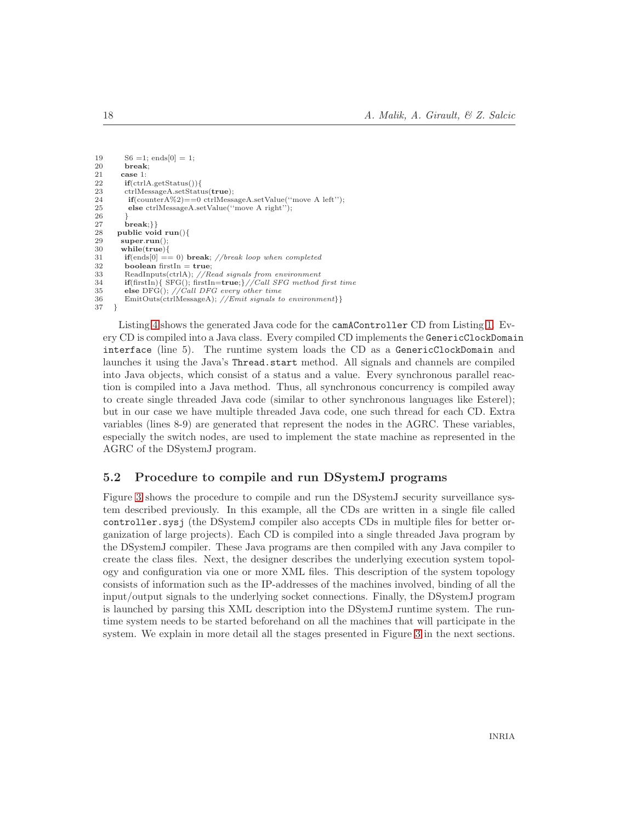```
19 S6 = 1; ends[0] = 1;<br>20 break;
20 break;<br>21 case 1:
21 case 1:<br>22 if(ctrl.
22 if(ctrlA.getStatus()){<br>23 ctrlMessageA.setStatu
23 ctrlMessageA.setStatus(true);<br>
24 if(counterA%2)==0 ctrlMessa
24 if(counterA%2)==0 ctrlMessageA.setValue("move A left");<br>25 else ctrlMessageA.setValue("move A right");
              else ctrlMessageA.setValue("move A right");
\frac{26}{27}27 break;}}<br>28 public voi
28 public void run(){<br>29 super.run():
29 super.run()<br>30 while(true)
30 while(true){<br>31 if(ends[0] ==
             {\bf if}({\rm ends}[0] == 0) break; //break loop when completed
32 boolean firstIn = true;<br>33 ReadInputs(ctrlA): //R33 ReadInputs(ctrlA); //Read signals from environment<br>34 if(firstIn){ SFG(); firstIn=true; } //Call SFG method
34 if(firstIn){ SFG(); firstIn=true;}//Call SFG method first time<br>35 else DFG(): //Call DFG every other time
35 else DFG(); //Call DFG every other time<br>36 EmitOuts(ctrlMessageA); //Emit signals to
             EmitOuts(ctrlMessageA); //Emit signals to environment}}
37 }
```
Listing [4](#page-19-0) shows the generated Java code for the camAController CD from Listing [1.](#page-6-1) Every CD is compiled into a Java class. Every compiled CD implements the GenericClockDomain interface (line 5). The runtime system loads the CD as a GenericClockDomain and launches it using the Java's Thread.start method. All signals and channels are compiled into Java objects, which consist of a status and a value. Every synchronous parallel reaction is compiled into a Java method. Thus, all synchronous concurrency is compiled away to create single threaded Java code (similar to other synchronous languages like Esterel); but in our case we have multiple threaded Java code, one such thread for each CD. Extra variables (lines 8-9) are generated that represent the nodes in the AGRC. These variables, especially the switch nodes, are used to implement the state machine as represented in the AGRC of the DSystemJ program.

# <span id="page-20-0"></span>5.2 Procedure to compile and run DSystemJ programs

Figure [3](#page-21-1) shows the procedure to compile and run the DSystemJ security surveillance system described previously. In this example, all the CDs are written in a single file called controller.sysj (the DSystemJ compiler also accepts CDs in multiple files for better organization of large projects). Each CD is compiled into a single threaded Java program by the DSystemJ compiler. These Java programs are then compiled with any Java compiler to create the class files. Next, the designer describes the underlying execution system topology and configuration via one or more XML files. This description of the system topology consists of information such as the IP-addresses of the machines involved, binding of all the input/output signals to the underlying socket connections. Finally, the DSystemJ program is launched by parsing this XML description into the DSystemJ runtime system. The runtime system needs to be started beforehand on all the machines that will participate in the system. We explain in more detail all the stages presented in Figure [3](#page-21-1) in the next sections.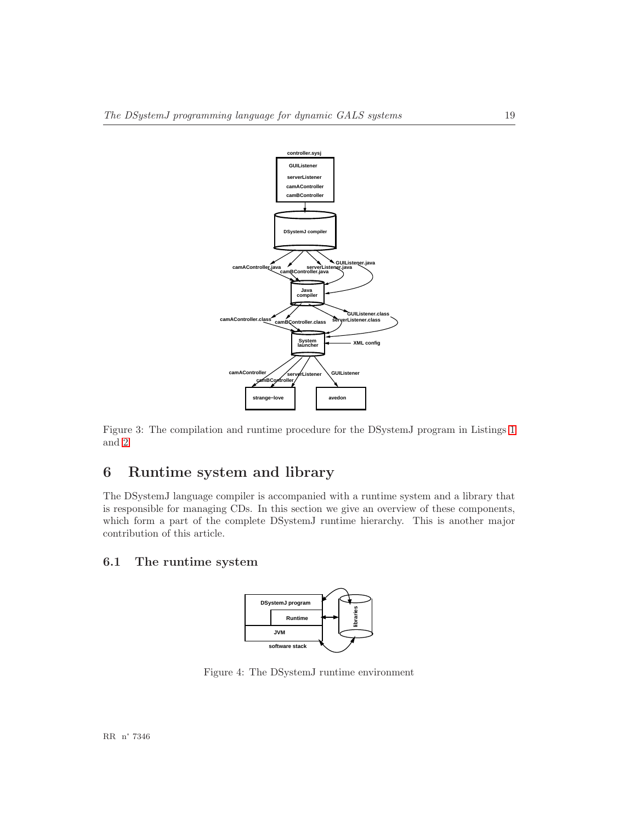

<span id="page-21-1"></span>Figure 3: The compilation and runtime procedure for the DSystemJ program in Listings [1](#page-6-1) and [2](#page-7-0)

# <span id="page-21-0"></span>6 Runtime system and library

The DSystemJ language compiler is accompanied with a runtime system and a library that is responsible for managing CDs. In this section we give an overview of these components, which form a part of the complete DSystemJ runtime hierarchy. This is another major contribution of this article.

# <span id="page-21-3"></span>6.1 The runtime system



<span id="page-21-2"></span>Figure 4: The DSystemJ runtime environment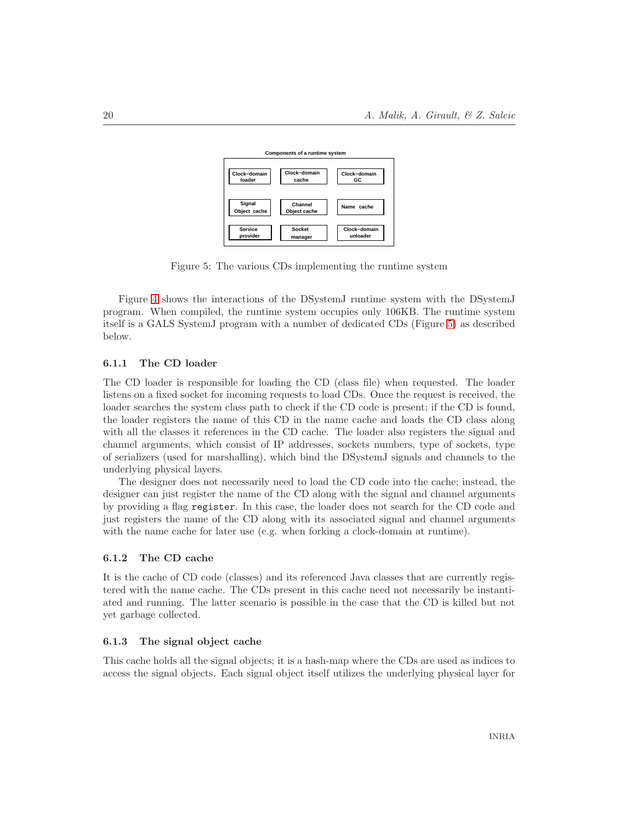

<span id="page-22-0"></span>Figure 5: The various CDs implementing the runtime system

Figure [4](#page-21-2) shows the interactions of the DSystemJ runtime system with the DSystemJ program. When compiled, the runtime system occupies only 106KB. The runtime system itself is a GALS SystemJ program with a number of dedicated CDs (Figure [5\)](#page-22-0) as described below.

## <span id="page-22-1"></span>6.1.1 The CD loader

The CD loader is responsible for loading the CD (class file) when requested. The loader listens on a fixed socket for incoming requests to load CDs. Once the request is received, the loader searches the system class path to check if the CD code is present; if the CD is found, the loader registers the name of this CD in the name cache and loads the CD class along with all the classes it references in the CD cache. The loader also registers the signal and channel arguments, which consist of IP addresses, sockets numbers, type of sockets, type of serializers (used for marshalling), which bind the DSystemJ signals and channels to the underlying physical layers.

The designer does not necessarily need to load the CD code into the cache; instead, the designer can just register the name of the CD along with the signal and channel arguments by providing a flag register. In this case, the loader does not search for the CD code and just registers the name of the CD along with its associated signal and channel arguments with the name cache for later use (e.g. when forking a clock-domain at runtime).

#### <span id="page-22-2"></span>6.1.2 The CD cache

It is the cache of CD code (classes) and its referenced Java classes that are currently registered with the name cache. The CDs present in this cache need not necessarily be instantiated and running. The latter scenario is possible in the case that the CD is killed but not yet garbage collected.

### <span id="page-22-3"></span>6.1.3 The signal object cache

This cache holds all the signal objects; it is a hash-map where the CDs are used as indices to access the signal objects. Each signal object itself utilizes the underlying physical layer for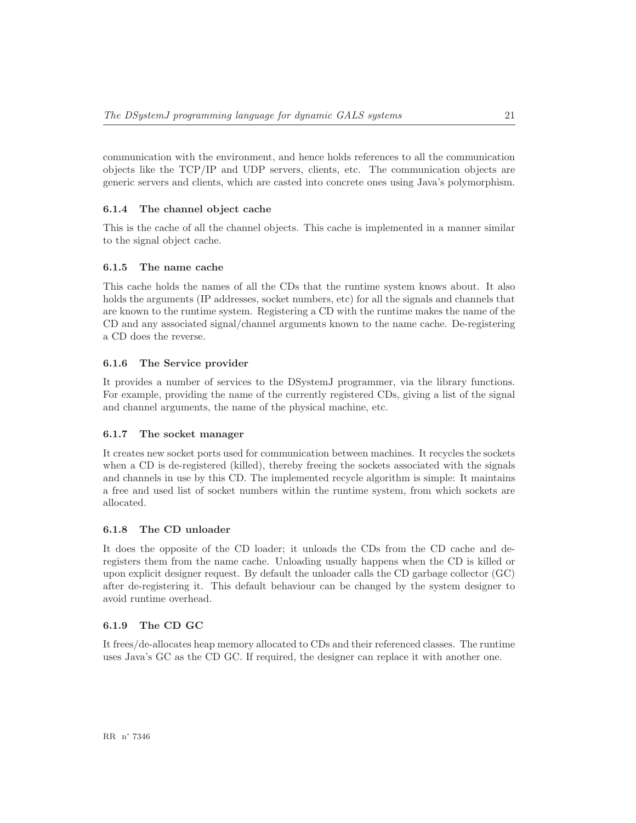communication with the environment, and hence holds references to all the communication objects like the TCP/IP and UDP servers, clients, etc. The communication objects are generic servers and clients, which are casted into concrete ones using Java's polymorphism.

## <span id="page-23-1"></span>6.1.4 The channel object cache

This is the cache of all the channel objects. This cache is implemented in a manner similar to the signal object cache.

### <span id="page-23-2"></span>6.1.5 The name cache

This cache holds the names of all the CDs that the runtime system knows about. It also holds the arguments (IP addresses, socket numbers, etc) for all the signals and channels that are known to the runtime system. Registering a CD with the runtime makes the name of the CD and any associated signal/channel arguments known to the name cache. De-registering a CD does the reverse.

## <span id="page-23-3"></span>6.1.6 The Service provider

It provides a number of services to the DSystemJ programmer, via the library functions. For example, providing the name of the currently registered CDs, giving a list of the signal and channel arguments, the name of the physical machine, etc.

## <span id="page-23-0"></span>6.1.7 The socket manager

It creates new socket ports used for communication between machines. It recycles the sockets when a CD is de-registered (killed), thereby freeing the sockets associated with the signals and channels in use by this CD. The implemented recycle algorithm is simple: It maintains a free and used list of socket numbers within the runtime system, from which sockets are allocated.

### <span id="page-23-4"></span>6.1.8 The CD unloader

It does the opposite of the CD loader; it unloads the CDs from the CD cache and deregisters them from the name cache. Unloading usually happens when the CD is killed or upon explicit designer request. By default the unloader calls the CD garbage collector (GC) after de-registering it. This default behaviour can be changed by the system designer to avoid runtime overhead.

#### <span id="page-23-5"></span>6.1.9 The CD GC

It frees/de-allocates heap memory allocated to CDs and their referenced classes. The runtime uses Java's GC as the CD GC. If required, the designer can replace it with another one.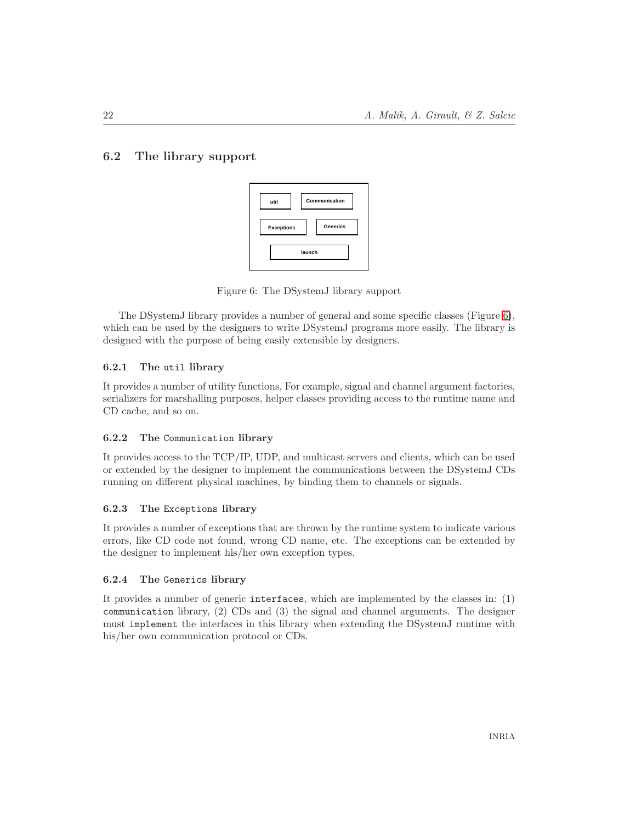# <span id="page-24-1"></span>6.2 The library support



<span id="page-24-0"></span>Figure 6: The DSystemJ library support

The DSystemJ library provides a number of general and some specific classes (Figure [6\)](#page-24-0), which can be used by the designers to write DSystemJ programs more easily. The library is designed with the purpose of being easily extensible by designers.

## <span id="page-24-2"></span>6.2.1 The util library

It provides a number of utility functions, For example, signal and channel argument factories, serializers for marshalling purposes, helper classes providing access to the runtime name and CD cache, and so on.

## <span id="page-24-3"></span>6.2.2 The Communication library

It provides access to the TCP/IP, UDP, and multicast servers and clients, which can be used or extended by the designer to implement the communications between the DSystemJ CDs running on different physical machines, by binding them to channels or signals.

## <span id="page-24-4"></span>6.2.3 The Exceptions library

It provides a number of exceptions that are thrown by the runtime system to indicate various errors, like CD code not found, wrong CD name, etc. The exceptions can be extended by the designer to implement his/her own exception types.

# <span id="page-24-5"></span>6.2.4 The Generics library

It provides a number of generic interfaces, which are implemented by the classes in: (1) communication library, (2) CDs and (3) the signal and channel arguments. The designer must implement the interfaces in this library when extending the DSystemJ runtime with his/her own communication protocol or CDs.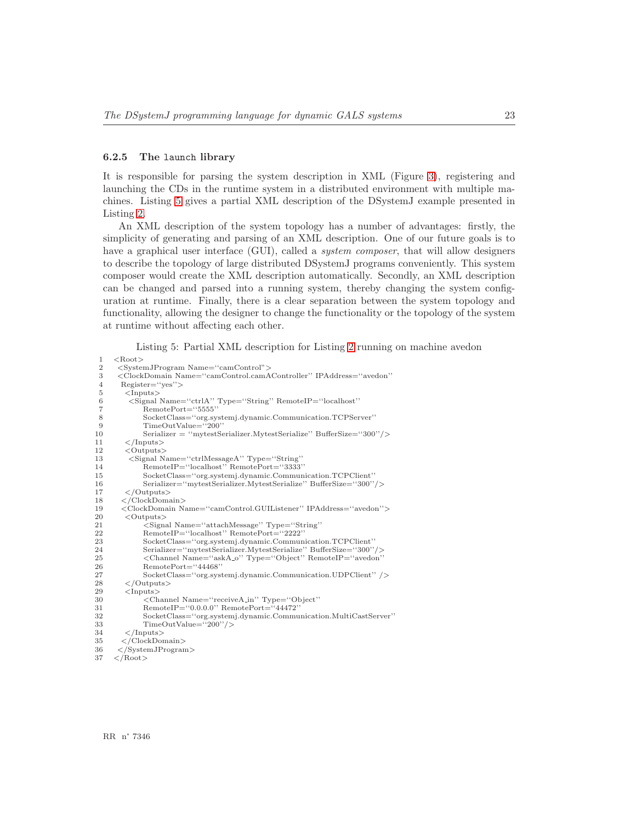#### <span id="page-25-1"></span>6.2.5 The launch library

It is responsible for parsing the system description in XML (Figure [3\)](#page-21-1), registering and launching the CDs in the runtime system in a distributed environment with multiple machines. Listing [5](#page-25-0) gives a partial XML description of the DSystemJ example presented in Listing [2.](#page-7-0)

An XML description of the system topology has a number of advantages: firstly, the simplicity of generating and parsing of an XML description. One of our future goals is to have a graphical user interface (GUI), called a *system composer*, that will allow designers to describe the topology of large distributed DSystemJ programs conveniently. This system composer would create the XML description automatically. Secondly, an XML description can be changed and parsed into a running system, thereby changing the system configuration at runtime. Finally, there is a clear separation between the system topology and functionality, allowing the designer to change the functionality or the topology of the system at runtime without affecting each other.

Listing 5: Partial XML description for Listing [2](#page-7-0) running on machine avedon

```
\begin{array}{cc} 1 & < \text{Root} > \\ 2 & < \text{Svste} \end{array}2 <SystemJProgram Name=''camControl">
 3 <ClockDomain Name=''camControl.camAController'' IPAddress=''avedon''
 4 Register="yes"><br>5 <Inputs>
 5 <Inputs><br>6 <Inputs>
 6 <Signal Name="ctrlA'' Type="String'' RemoteIP="localhost'' RemotePort="5555''
 7 RemotePort="5555"<br>8 SocketClass="org.sv
 8 SocketClass=''org.systemj.dynamic.Communication.TCPServer''
9 \text{TimeOutValue} = \text{``200''}<br>10 Serializer = "mytestSe
               10 Serializer = ''mytestSerializer.MytestSerialize'' BufferSize=''300''/>
\frac{11}{12} </Inputs><br>12 < Outputs
         \langle Outputs\rangle13 <Signal Name=''ctrlMessageA'' Type=''String''
14 RemoteIP=''localhost'' RemotePort=''3333''
15 SocketClass=''org.systemj.dynamic.Communication.TCPClient''
16 Serializer=''mytestSerializer.MytestSerialize'' BufferSize=''300''/>\langle\langle/Outputs>
18 </ClockDomain>
19 <ClockDomain Name=''camControl.GUIListener'' IPAddress=''avedon''>
20 < Outputs>
21 < Outputs
               21 <Signal Name=''attachMessage'' Type=''String''
22 RemoteIP="localhost" RemotePort="2222"<br>23 SocketClass="org systemi dynamic Commun
               {\bf Socket Class="org. systemj. dynamic. Communication. TCPClient''}24 Serializer=''mytestSerializer.MytestSerialize'' BufferSize=''300''/>
25 <Channel Name=''askA o'' Type=''Object'' RemoteIP=''avedon''
26 RemotePort="44468"<br>27 SocketClass="org.sys
27 SocketClass="org.systemj.dynamic.Communication.UDPClient" /> \leq /Outputs
         \langle/Outputs>
29 <Inputs><br>30 <Inputs>
30 <Channel Name=''receiveA in'' Type=''Object''
31 RemoteIP=''0.0.0.0'' RemotePort=''44472''
32 SocketClass=''org.systemj.dynamic.Communication.MultiCastServer''
33 TimeOutValue="200''/><br>34 \langle/Inputs>
34 </Inputs><br>35 </ClockDor
35 </ClockDomain><br>36 </SystemJProgram
36 </SystemJProgram><br>37 </Root>
```
 $\langle$  Root $>$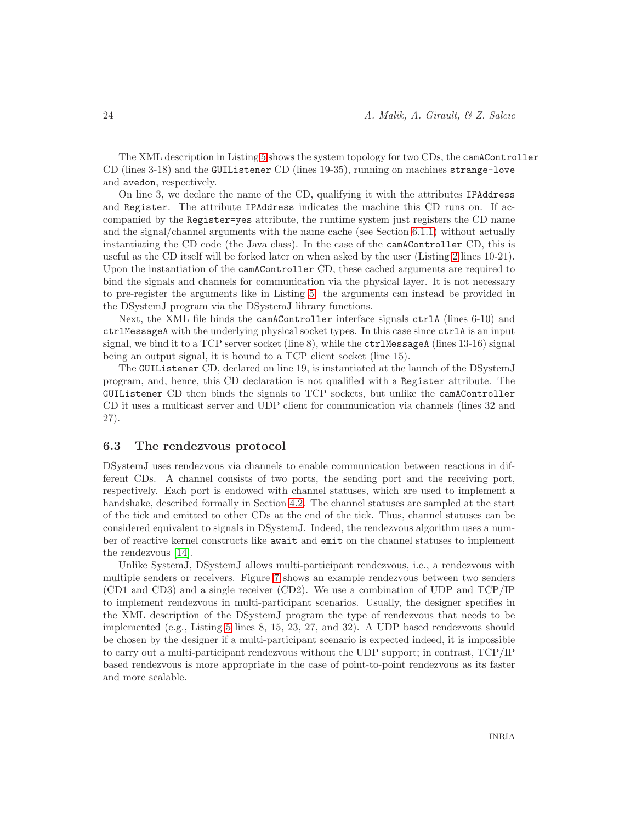The XML description in Listing [5](#page-25-0) shows the system topology for two CDs, the camAController CD (lines 3-18) and the GUIListener CD (lines 19-35), running on machines strange-love and avedon, respectively.

On line 3, we declare the name of the CD, qualifying it with the attributes IPAddress and Register. The attribute IPAddress indicates the machine this CD runs on. If accompanied by the Register=yes attribute, the runtime system just registers the CD name and the signal/channel arguments with the name cache (see Section [6.1.1\)](#page-22-1) without actually instantiating the CD code (the Java class). In the case of the camAController CD, this is useful as the CD itself will be forked later on when asked by the user (Listing [2](#page-7-0) lines 10-21). Upon the instantiation of the camAController CD, these cached arguments are required to bind the signals and channels for communication via the physical layer. It is not necessary to pre-register the arguments like in Listing [5:](#page-25-0) the arguments can instead be provided in the DSystemJ program via the DSystemJ library functions.

Next, the XML file binds the camAController interface signals ctrlA (lines 6-10) and ctrlMessageA with the underlying physical socket types. In this case since ctrlA is an input signal, we bind it to a TCP server socket (line 8), while the ctrlMessageA (lines 13-16) signal being an output signal, it is bound to a TCP client socket (line 15).

The GUIListener CD, declared on line 19, is instantiated at the launch of the DSystemJ program, and, hence, this CD declaration is not qualified with a Register attribute. The GUIListener CD then binds the signals to TCP sockets, but unlike the camAController CD it uses a multicast server and UDP client for communication via channels (lines 32 and 27).

## <span id="page-26-0"></span>6.3 The rendezvous protocol

DSystemJ uses rendezvous via channels to enable communication between reactions in different CDs. A channel consists of two ports, the sending port and the receiving port, respectively. Each port is endowed with channel statuses, which are used to implement a handshake, described formally in Section [4.2.](#page-14-0) The channel statuses are sampled at the start of the tick and emitted to other CDs at the end of the tick. Thus, channel statuses can be considered equivalent to signals in DSystemJ. Indeed, the rendezvous algorithm uses a number of reactive kernel constructs like await and emit on the channel statuses to implement the rendezvous [\[14\]](#page-32-6).

Unlike SystemJ, DSystemJ allows multi-participant rendezvous, i.e., a rendezvous with multiple senders or receivers. Figure [7](#page-27-0) shows an example rendezvous between two senders (CD1 and CD3) and a single receiver (CD2). We use a combination of UDP and TCP/IP to implement rendezvous in multi-participant scenarios. Usually, the designer specifies in the XML description of the DSystemJ program the type of rendezvous that needs to be implemented (e.g., Listing [5](#page-25-0) lines 8, 15, 23, 27, and 32). A UDP based rendezvous should be chosen by the designer if a multi-participant scenario is expected indeed, it is impossible to carry out a multi-participant rendezvous without the UDP support; in contrast, TCP/IP based rendezvous is more appropriate in the case of point-to-point rendezvous as its faster and more scalable.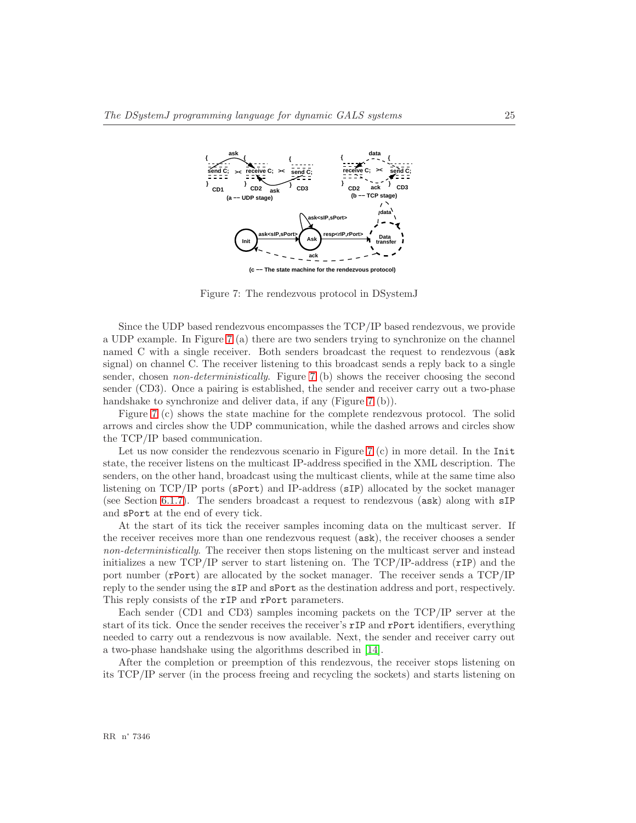

<span id="page-27-0"></span>Figure 7: The rendezvous protocol in DSystemJ

Since the UDP based rendezvous encompasses the TCP/IP based rendezvous, we provide a UDP example. In Figure [7](#page-27-0) (a) there are two senders trying to synchronize on the channel named C with a single receiver. Both senders broadcast the request to rendezvous (ask signal) on channel C. The receiver listening to this broadcast sends a reply back to a single sender, chosen *non-deterministically*. Figure [7](#page-27-0) (b) shows the receiver choosing the second sender (CD3). Once a pairing is established, the sender and receiver carry out a two-phase handshake to synchronize and deliver data, if any (Figure [7](#page-27-0) (b)).

Figure [7](#page-27-0) (c) shows the state machine for the complete rendezvous protocol. The solid arrows and circles show the UDP communication, while the dashed arrows and circles show the TCP/IP based communication.

Let us now consider the rendezvous scenario in Figure [7](#page-27-0) (c) in more detail. In the Init state, the receiver listens on the multicast IP-address specified in the XML description. The senders, on the other hand, broadcast using the multicast clients, while at the same time also listening on TCP/IP ports (sPort) and IP-address (sIP) allocated by the socket manager (see Section [6.1.7\)](#page-23-0). The senders broadcast a request to rendezvous (ask) along with sIP and sPort at the end of every tick.

At the start of its tick the receiver samples incoming data on the multicast server. If the receiver receives more than one rendezvous request (ask), the receiver chooses a sender *non-deterministically*. The receiver then stops listening on the multicast server and instead initializes a new  $TCP/IP$  server to start listening on. The  $TCP/IP$ -address  $(rIP)$  and the port number (rPort) are allocated by the socket manager. The receiver sends a TCP/IP reply to the sender using the sIP and sPort as the destination address and port, respectively. This reply consists of the rIP and rPort parameters.

Each sender (CD1 and CD3) samples incoming packets on the TCP/IP server at the start of its tick. Once the sender receives the receiver's rIP and rPort identifiers, everything needed to carry out a rendezvous is now available. Next, the sender and receiver carry out a two-phase handshake using the algorithms described in [\[14\]](#page-32-6).

After the completion or preemption of this rendezvous, the receiver stops listening on its TCP/IP server (in the process freeing and recycling the sockets) and starts listening on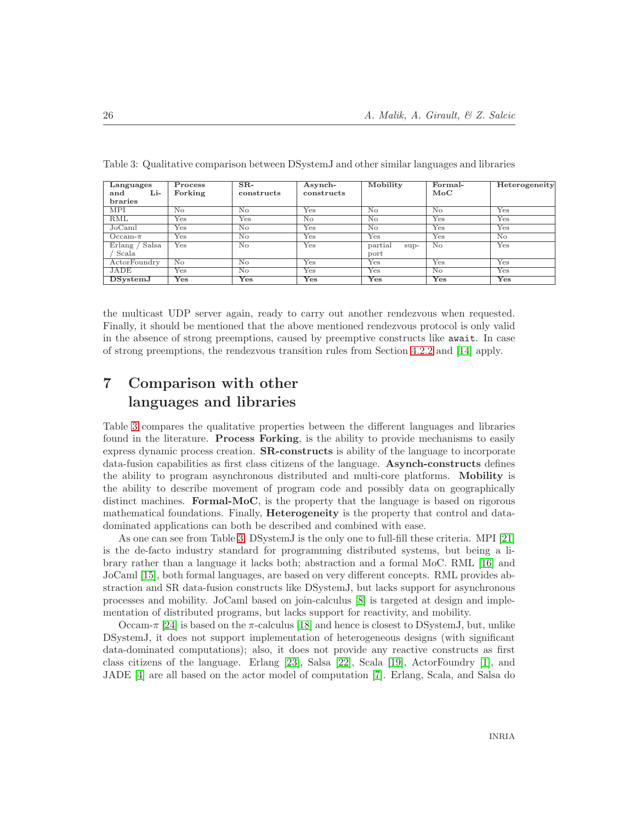| Languages<br>Li-<br>and | $\overline{\mathbf{P}}$ rocess<br>Forking | $SR-$<br>constructs | Asynch-<br>constructs     | Mobility               | Formal-<br>$_{\rm MoC}$   | Heterogeneity |
|-------------------------|-------------------------------------------|---------------------|---------------------------|------------------------|---------------------------|---------------|
| <b>braries</b>          |                                           |                     |                           |                        |                           |               |
| <b>MPI</b>              | N <sub>o</sub>                            | No                  | Yes                       | No                     | No                        | Yes           |
| RML                     | Yes                                       | Yes                 | $\overline{\text{No}}$    | $\overline{\text{No}}$ | $\overline{\mathrm{Yes}}$ | Yes           |
| JoCaml                  | Yes                                       | No                  | Yes                       | No                     | $Y_{\rm es}$              | Yes           |
| $Occam-\pi$             | Yes                                       | No                  | Yes                       | Yes                    | Yes                       | No            |
| Erlang / Salsa          | Yes                                       | No                  | Yes                       | partial<br>$\sup$ -    | No                        | Yes           |
| Scala                   |                                           |                     |                           | port                   |                           |               |
| ActorFoundry            | N <sub>o</sub>                            | No                  | Yes                       | Yes                    | $Y_{\rm es}$              | Yes           |
| JADE                    | Yes                                       | No                  | Yes                       | Yes                    | $\overline{\text{No}}$    | Yes           |
| DSystemJ                | Yes                                       | Yes                 | $\overline{\mathrm{Yes}}$ | Yes                    | Yes                       | Yes           |

<span id="page-28-1"></span>Table 3: Qualitative comparison between DSystemJ and other similar languages and libraries

the multicast UDP server again, ready to carry out another rendezvous when requested. Finally, it should be mentioned that the above mentioned rendezvous protocol is only valid in the absence of strong preemptions, caused by preemptive constructs like await. In case of strong preemptions, the rendezvous transition rules from Section [4.2.2](#page-15-0) and [\[14\]](#page-32-6) apply.

# <span id="page-28-0"></span>7 Comparison with other languages and libraries

Table [3](#page-28-1) compares the qualitative properties between the different languages and libraries found in the literature. Process Forking, is the ability to provide mechanisms to easily express dynamic process creation. SR-constructs is ability of the language to incorporate data-fusion capabilities as first class citizens of the language. Asynch-constructs defines the ability to program asynchronous distributed and multi-core platforms. Mobility is the ability to describe movement of program code and possibly data on geographically distinct machines. Formal-MoC, is the property that the language is based on rigorous mathematical foundations. Finally, **Heterogeneity** is the property that control and datadominated applications can both be described and combined with ease.

As one can see from Table [3,](#page-28-1) DSystemJ is the only one to full-fill these criteria. MPI [\[21\]](#page-32-0) is the de-facto industry standard for programming distributed systems, but being a library rather than a language it lacks both; abstraction and a formal MoC. RML [\[16\]](#page-32-9) and JoCaml [\[15\]](#page-32-3), both formal languages, are based on very different concepts. RML provides abstraction and SR data-fusion constructs like DSystemJ, but lacks support for asynchronous processes and mobility. JoCaml based on join-calculus [\[8\]](#page-31-5) is targeted at design and implementation of distributed programs, but lacks support for reactivity, and mobility.

Occam-π [\[24\]](#page-32-2) is based on the π-calculus [\[18\]](#page-32-10) and hence is closest to DS vstemJ, but, unlike DSystemJ, it does not support implementation of heterogeneous designs (with significant data-dominated computations); also, it does not provide any reactive constructs as first class citizens of the language. Erlang [\[23\]](#page-32-5), Salsa [\[22\]](#page-32-11), Scala [\[19\]](#page-32-4), ActorFoundry [\[1\]](#page-31-7), and JADE [\[4\]](#page-31-1) are all based on the actor model of computation [\[7\]](#page-31-6). Erlang, Scala, and Salsa do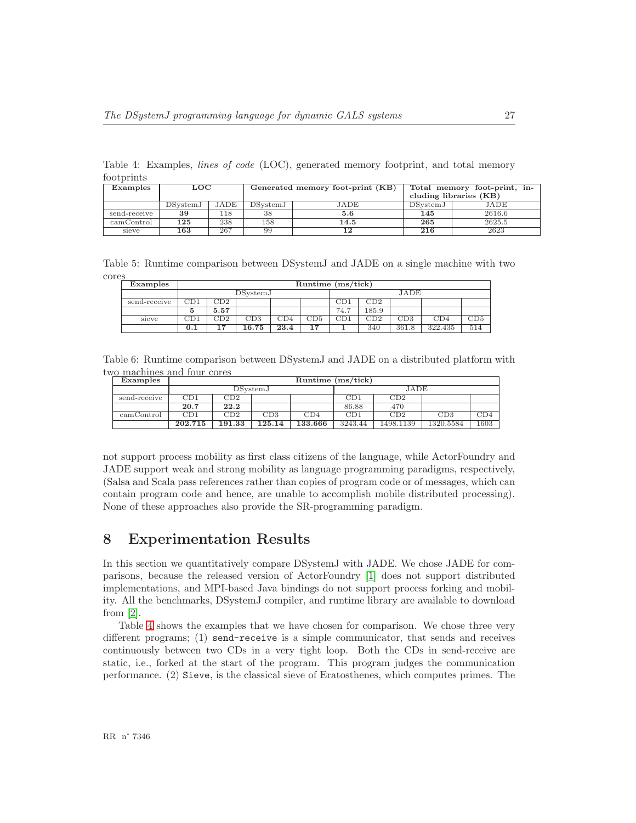<span id="page-29-1"></span>Table 4: Examples, *lines of code* (LOC), generated memory footprint, and total memory footprints

| Examples     | LOC              |      |          | Generated memory foot-print (KB) | Total memory foot-print, in-<br>cluding libraries (KB) |        |  |
|--------------|------------------|------|----------|----------------------------------|--------------------------------------------------------|--------|--|
|              | <b>DS</b> vstemJ | JADE | DSystemJ | JADE                             | DSystemJ                                               | JADE   |  |
| send-receive | 39               | 18،  | 38       | 5.6                              | 145                                                    | 2616.6 |  |
| camControl   | 125              | 238  | 158      | 14.5                             | 265                                                    | 2625.5 |  |
| sieve        | 163              | 267  | 99       | 1 າ                              | 216                                                    | 2623   |  |

Table 5: Runtime comparison between DSystemJ and JADE on a single machine with two cores

<span id="page-29-2"></span>

| Examples     |           | Runtime $(ms/tick)$       |     |      |       |              |      |       |         |     |  |
|--------------|-----------|---------------------------|-----|------|-------|--------------|------|-------|---------|-----|--|
|              |           | DSystemJ                  |     |      |       |              | JADE |       |         |     |  |
| send-receive | CD1       | CD2                       |     |      |       | CD1          | CD2  |       |         |     |  |
|              | 5.57<br>Ð |                           |     | 74.7 | 185.9 |              |      |       |         |     |  |
| sieve        | CD1       | $_{\rm CD2}$              | CD3 | CD4  | CD5   | $_{\rm CD1}$ | CD2  | CD3   | CD4     | CD5 |  |
|              | 0.1       | 16.75<br>23.4<br>17<br>17 |     |      |       |              | 340  | 361.8 | 322.435 | 514 |  |

Table 6: Runtime comparison between DSystemJ and JADE on a distributed platform with two machines and four cores

<span id="page-29-3"></span>

| Examples     |         | Runtime $(ms/tick)$ |          |         |              |           |           |      |  |
|--------------|---------|---------------------|----------|---------|--------------|-----------|-----------|------|--|
|              |         |                     | DSystemJ |         |              | JADE      |           |      |  |
| send-receive | CD1     | CD2                 |          |         | $_{\rm CD1}$ | CD2       |           |      |  |
|              | 20.7    | 22.2                |          |         | 86.88        | 470       |           |      |  |
| camControl   | CD1     | CD2                 | CD3      | CD4     | CD1          | CD2       | CD3       | CD4  |  |
|              | 202.715 | 191.33              | 125.14   | 133.666 | 3243.44      | 1498.1139 | 1320.5584 | 1603 |  |

not support process mobility as first class citizens of the language, while ActorFoundry and JADE support weak and strong mobility as language programming paradigms, respectively, (Salsa and Scala pass references rather than copies of program code or of messages, which can contain program code and hence, are unable to accomplish mobile distributed processing). None of these approaches also provide the SR-programming paradigm.

# <span id="page-29-0"></span>8 Experimentation Results

In this section we quantitatively compare DSystemJ with JADE. We chose JADE for comparisons, because the released version of ActorFoundry [\[1\]](#page-31-7) does not support distributed implementations, and MPI-based Java bindings do not support process forking and mobility. All the benchmarks, DSystemJ compiler, and runtime library are available to download from [\[2\]](#page-31-11).

Table [4](#page-29-1) shows the examples that we have chosen for comparison. We chose three very different programs; (1) send-receive is a simple communicator, that sends and receives continuously between two CDs in a very tight loop. Both the CDs in send-receive are static, i.e., forked at the start of the program. This program judges the communication performance. (2) Sieve, is the classical sieve of Eratosthenes, which computes primes. The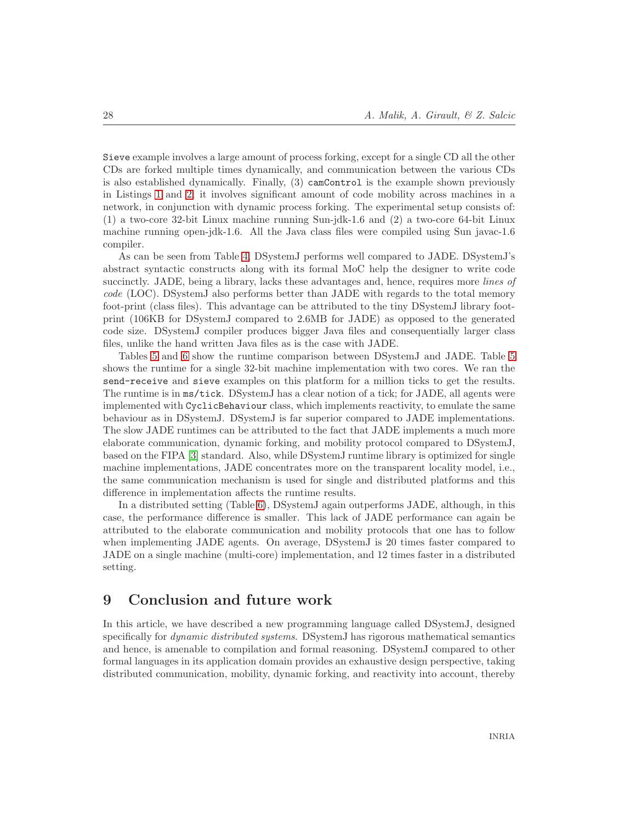Sieve example involves a large amount of process forking, except for a single CD all the other CDs are forked multiple times dynamically, and communication between the various CDs is also established dynamically. Finally, (3) camControl is the example shown previously in Listings [1](#page-6-1) and [2;](#page-7-0) it involves significant amount of code mobility across machines in a network, in conjunction with dynamic process forking. The experimental setup consists of: (1) a two-core 32-bit Linux machine running Sun-jdk-1.6 and (2) a two-core 64-bit Linux machine running open-jdk-1.6. All the Java class files were compiled using Sun javac-1.6 compiler.

As can be seen from Table [4,](#page-29-1) DSystemJ performs well compared to JADE. DSystemJ's abstract syntactic constructs along with its formal MoC help the designer to write code succinctly. JADE, being a library, lacks these advantages and, hence, requires more *lines of code* (LOC). DSystemJ also performs better than JADE with regards to the total memory foot-print (class files). This advantage can be attributed to the tiny DSystemJ library footprint (106KB for DSystemJ compared to 2.6MB for JADE) as opposed to the generated code size. DSystemJ compiler produces bigger Java files and consequentially larger class files, unlike the hand written Java files as is the case with JADE.

Tables [5](#page-29-2) and [6](#page-29-3) show the runtime comparison between DSystemJ and JADE. Table [5](#page-29-2) shows the runtime for a single 32-bit machine implementation with two cores. We ran the send-receive and sieve examples on this platform for a million ticks to get the results. The runtime is in ms/tick. DSystemJ has a clear notion of a tick; for JADE, all agents were implemented with CyclicBehaviour class, which implements reactivity, to emulate the same behaviour as in DSystemJ. DSystemJ is far superior compared to JADE implementations. The slow JADE runtimes can be attributed to the fact that JADE implements a much more elaborate communication, dynamic forking, and mobility protocol compared to DSystemJ, based on the FIPA [\[3\]](#page-31-12) standard. Also, while DSystemJ runtime library is optimized for single machine implementations, JADE concentrates more on the transparent locality model, i.e., the same communication mechanism is used for single and distributed platforms and this difference in implementation affects the runtime results.

In a distributed setting (Table [6\)](#page-29-3), DSystemJ again outperforms JADE, although, in this case, the performance difference is smaller. This lack of JADE performance can again be attributed to the elaborate communication and mobility protocols that one has to follow when implementing JADE agents. On average, DSystemJ is 20 times faster compared to JADE on a single machine (multi-core) implementation, and 12 times faster in a distributed setting.

# <span id="page-30-0"></span>9 Conclusion and future work

In this article, we have described a new programming language called DSystemJ, designed specifically for *dynamic distributed systems*. DSystemJ has rigorous mathematical semantics and hence, is amenable to compilation and formal reasoning. DSystemJ compared to other formal languages in its application domain provides an exhaustive design perspective, taking distributed communication, mobility, dynamic forking, and reactivity into account, thereby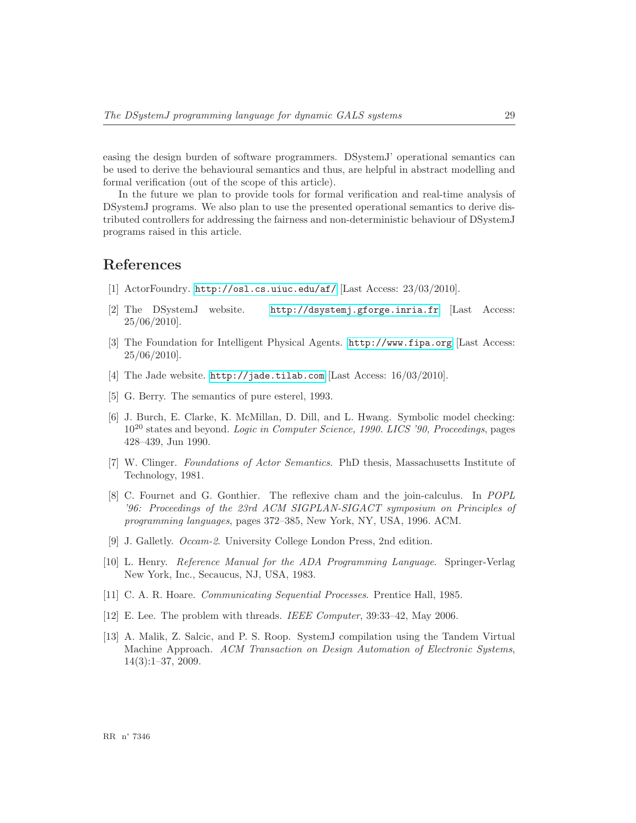easing the design burden of software programmers. DSystemJ' operational semantics can be used to derive the behavioural semantics and thus, are helpful in abstract modelling and formal verification (out of the scope of this article).

In the future we plan to provide tools for formal verification and real-time analysis of DSystemJ programs. We also plan to use the presented operational semantics to derive distributed controllers for addressing the fairness and non-deterministic behaviour of DSystemJ programs raised in this article.

# <span id="page-31-7"></span>References

- <span id="page-31-11"></span>[1] ActorFoundry. <http://osl.cs.uiuc.edu/af/> [Last Access: 23/03/2010].
- <span id="page-31-12"></span>[2] The DSystemJ website. <http://dsystemj.gforge.inria.fr> [Last Access: 25/06/2010].
- [3] The Foundation for Intelligent Physical Agents. <http://www.fipa.org> [Last Access: 25/06/2010].
- <span id="page-31-8"></span><span id="page-31-1"></span>[4] The Jade website. <http://jade.tilab.com> [Last Access: 16/03/2010].
- <span id="page-31-2"></span>[5] G. Berry. The semantics of pure esterel, 1993.
- [6] J. Burch, E. Clarke, K. McMillan, D. Dill, and L. Hwang. Symbolic model checking: 10<sup>20</sup> states and beyond. *Logic in Computer Science, 1990. LICS '90, Proceedings*, pages 428–439, Jun 1990.
- <span id="page-31-6"></span>[7] W. Clinger. *Foundations of Actor Semantics*. PhD thesis, Massachusetts Institute of Technology, 1981.
- <span id="page-31-5"></span>[8] C. Fournet and G. Gonthier. The reflexive cham and the join-calculus. In *POPL '96: Proceedings of the 23rd ACM SIGPLAN-SIGACT symposium on Principles of programming languages*, pages 372–385, New York, NY, USA, 1996. ACM.
- <span id="page-31-9"></span><span id="page-31-4"></span>[9] J. Galletly. *Occam-2*. University College London Press, 2nd edition.
- [10] L. Henry. *Reference Manual for the ADA Programming Language*. Springer-Verlag New York, Inc., Secaucus, NJ, USA, 1983.
- <span id="page-31-3"></span><span id="page-31-0"></span>[11] C. A. R. Hoare. *Communicating Sequential Processes*. Prentice Hall, 1985.
- <span id="page-31-10"></span>[12] E. Lee. The problem with threads. *IEEE Computer*, 39:33–42, May 2006.
- [13] A. Malik, Z. Salcic, and P. S. Roop. SystemJ compilation using the Tandem Virtual Machine Approach. *ACM Transaction on Design Automation of Electronic Systems*, 14(3):1–37, 2009.

RR n° 7346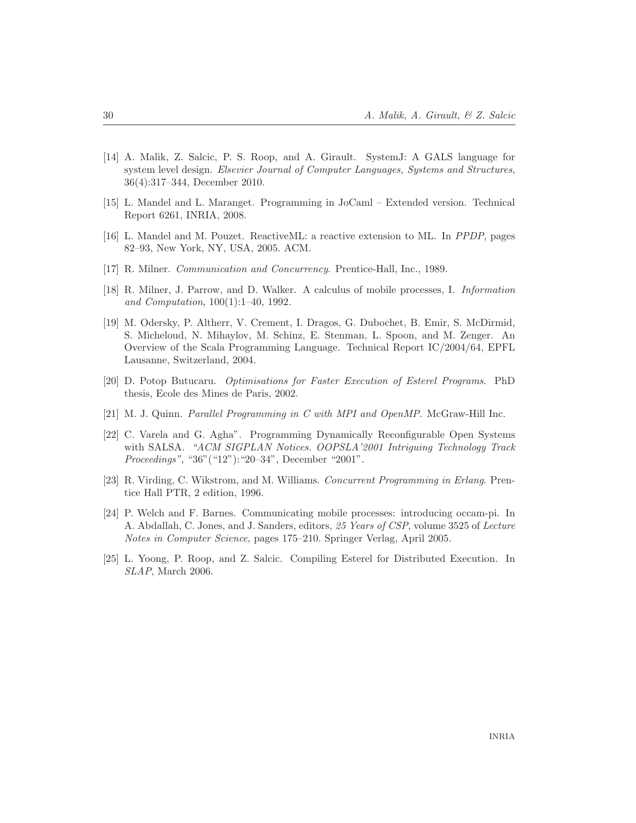- <span id="page-32-6"></span>[14] A. Malik, Z. Salcic, P. S. Roop, and A. Girault. SystemJ: A GALS language for system level design. *Elsevier Journal of Computer Languages, Systems and Structures*, 36(4):317–344, December 2010.
- <span id="page-32-9"></span><span id="page-32-3"></span>[15] L. Mandel and L. Maranget. Programming in JoCaml – Extended version. Technical Report 6261, INRIA, 2008.
- <span id="page-32-1"></span>[16] L. Mandel and M. Pouzet. ReactiveML: a reactive extension to ML. In *PPDP*, pages 82–93, New York, NY, USA, 2005. ACM.
- <span id="page-32-10"></span>[17] R. Milner. *Communication and Concurrency*. Prentice-Hall, Inc., 1989.
- <span id="page-32-4"></span>[18] R. Milner, J. Parrow, and D. Walker. A calculus of mobile processes, I. *Information and Computation*, 100(1):1–40, 1992.
- [19] M. Odersky, P. Altherr, V. Crement, I. Dragos, G. Dubochet, B. Emir, S. McDirmid, S. Micheloud, N. Mihaylov, M. Schinz, E. Stenman, L. Spoon, and M. Zenger. An Overview of the Scala Programming Language. Technical Report IC/2004/64, EPFL Lausanne, Switzerland, 2004.
- <span id="page-32-8"></span><span id="page-32-0"></span>[20] D. Potop Butucaru. *Optimisations for Faster Execution of Esterel Programs*. PhD thesis, Ecole des Mines de Paris, 2002.
- <span id="page-32-11"></span>[21] M. J. Quinn. *Parallel Programming in C with MPI and OpenMP*. McGraw-Hill Inc.
- [22] C. Varela and G. Agha". Programming Dynamically Reconfigurable Open Systems with SALSA. *"ACM SIGPLAN Notices. OOPSLA'2001 Intriguing Technology Track Proceedings"*, "36"("12"):"20–34", December "2001".
- <span id="page-32-5"></span>[23] R. Virding, C. Wikstrom, and M. Williams. *Concurrent Programming in Erlang*. Prentice Hall PTR, 2 edition, 1996.
- <span id="page-32-2"></span>[24] P. Welch and F. Barnes. Communicating mobile processes: introducing occam-pi. In A. Abdallah, C. Jones, and J. Sanders, editors, *25 Years of CSP*, volume 3525 of *Lecture Notes in Computer Science*, pages 175–210. Springer Verlag, April 2005.
- <span id="page-32-7"></span>[25] L. Yoong, P. Roop, and Z. Salcic. Compiling Esterel for Distributed Execution. In *SLAP*, March 2006.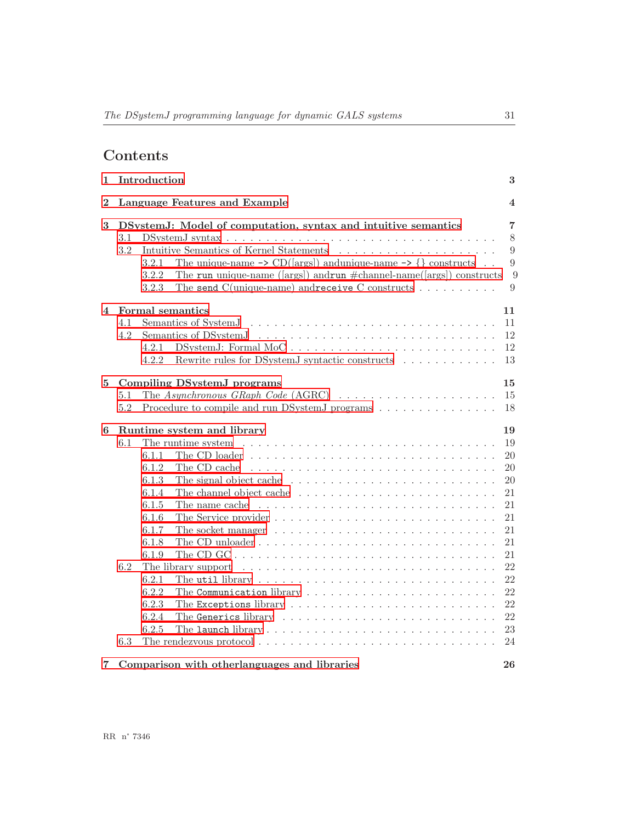# Contents

| 1                       |            | Introduction                                                                                                                                                                                                                                                                                                                                                                                                                                                                                                                                                                                                                                                                                   | 3                                                              |
|-------------------------|------------|------------------------------------------------------------------------------------------------------------------------------------------------------------------------------------------------------------------------------------------------------------------------------------------------------------------------------------------------------------------------------------------------------------------------------------------------------------------------------------------------------------------------------------------------------------------------------------------------------------------------------------------------------------------------------------------------|----------------------------------------------------------------|
| $\bf{2}$                |            | Language Features and Example                                                                                                                                                                                                                                                                                                                                                                                                                                                                                                                                                                                                                                                                  | 4                                                              |
| 3                       | 3.1<br>3.2 | DSystemJ: Model of computation, syntax and intuitive semantics<br>The unique-name $\rightarrow$ CD([args]) and<br>unique-name $\rightarrow$ {} constructs<br>3.2.1<br>The run unique-name ([args]) and run $\#$ channel-name([args]) constructs<br>3.2.2<br>The send $C$ (unique-name) and receive $C$ constructs<br>3.2.3                                                                                                                                                                                                                                                                                                                                                                     | $\overline{7}$<br>$8\,$<br>9<br>9<br>9<br>9                    |
| $\overline{\mathbf{4}}$ | 4.1<br>4.2 | Formal semantics<br>4.2.1<br>Rewrite rules for DSystemJ syntactic constructs<br>4.2.2                                                                                                                                                                                                                                                                                                                                                                                                                                                                                                                                                                                                          | 11<br>11<br>12<br>12<br>13                                     |
| 5                       | 5.1<br>5.2 | Compiling DSystemJ programs<br>The Asynchronous GRaph Code $(AGRC) \dots \dots \dots \dots \dots \dots \dots$<br>Procedure to compile and run DSystemJ programs                                                                                                                                                                                                                                                                                                                                                                                                                                                                                                                                | 15<br>15<br>18                                                 |
| 6                       | 6.1        | Runtime system and library<br>The runtime system $\dots \dots \dots \dots \dots \dots \dots \dots \dots \dots \dots \dots \dots$<br>6.1.1<br>The CD loader $\dots \dots \dots \dots \dots \dots \dots \dots \dots \dots \dots \dots \dots$<br>6.1.2<br>The CD cache<br>6.1.3<br>The signal object cache $\ldots \ldots \ldots \ldots \ldots \ldots \ldots \ldots$<br>6.1.4<br>The channel object cache $\ldots \ldots \ldots \ldots \ldots \ldots \ldots \ldots$<br>6.1.5<br>The name cache $\ldots \ldots \ldots \ldots \ldots \ldots \ldots \ldots \ldots \ldots$<br>6.1.6<br>6.1.7<br>The socket manager $\ldots \ldots \ldots \ldots \ldots \ldots \ldots \ldots \ldots$<br>6.1.8<br>6.1.9 | 19<br>19<br>20<br>20<br>20<br>21<br>21<br>21<br>21<br>21<br>21 |
|                         | 6.2<br>6.3 | The library support $\dots \dots \dots \dots \dots \dots \dots \dots \dots \dots \dots \dots$<br>6.2.1<br>The util library $\dots \dots \dots \dots \dots \dots \dots \dots \dots \dots \dots$<br>6.2.2<br>6.2.3<br>The Exceptions library $\ldots \ldots \ldots \ldots \ldots \ldots \ldots \ldots$<br>6.2.4<br>6.2.5                                                                                                                                                                                                                                                                                                                                                                         | 22<br>22<br>22<br>$22\,$<br>22<br>23<br>24                     |
| 7                       |            | Comparison with otherlanguages and libraries                                                                                                                                                                                                                                                                                                                                                                                                                                                                                                                                                                                                                                                   | 26                                                             |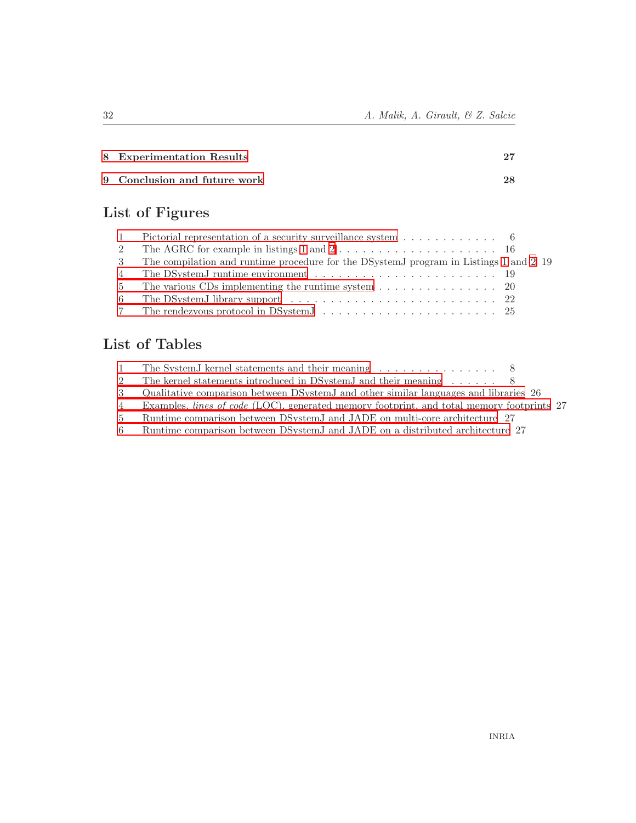| 8 Experimentation Results    |    |
|------------------------------|----|
| 9 Conclusion and future work | 28 |

# List of Figures

| $\mathbf{1}$ | Pictorial representation of a security surveillance system $\dots \dots \dots$          |  |
|--------------|-----------------------------------------------------------------------------------------|--|
| 2            |                                                                                         |  |
|              | 3 The compilation and runtime procedure for the DSystemJ program in Listings 1 and 2 19 |  |
|              |                                                                                         |  |
|              | 5 The various CDs implementing the runtime system 20                                    |  |
| 6            |                                                                                         |  |
|              |                                                                                         |  |

# <span id="page-34-0"></span>List of Tables

|       | The System I kernel statements and their meaning 8                                        |  |
|-------|-------------------------------------------------------------------------------------------|--|
|       | The kernel statements introduced in DSystem I and their meaning $\dots \dots$ 8           |  |
|       | Qualitative comparison between DSystem I and other similar languages and libraries 26     |  |
| 4     | Examples, lines of code (LOC), generated memory footprint, and total memory footprints 27 |  |
| $5 -$ | Runtime comparison between DSystemJ and JADE on multi-core architecture 27                |  |
| 6     | Runtime comparison between DSystemJ and JADE on a distributed architecture 27             |  |